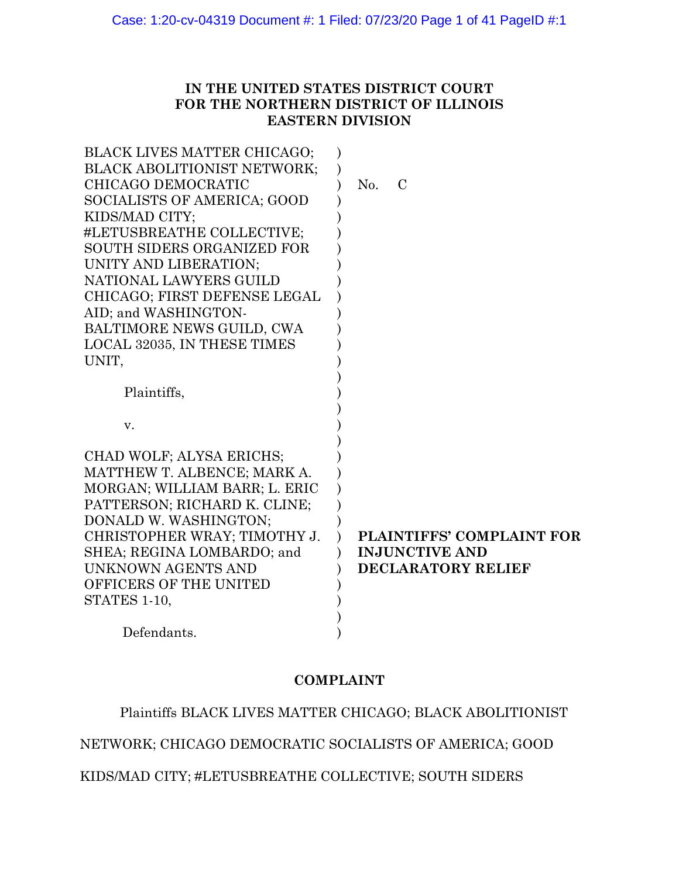# **IN THE UNITED STATES DISTRICT COURT FOR THE NORTHERN DISTRICT OF ILLINOIS EASTERN DIVISION**

| BLACK LIVES MATTER CHICAGO;        |                           |
|------------------------------------|---------------------------|
| <b>BLACK ABOLITIONIST NETWORK;</b> |                           |
| CHICAGO DEMOCRATIC                 | No.<br>$\mathcal{C}$      |
| SOCIALISTS OF AMERICA; GOOD        |                           |
| KIDS/MAD CITY;                     |                           |
| #LETUSBREATHE COLLECTIVE;          |                           |
| <b>SOUTH SIDERS ORGANIZED FOR</b>  |                           |
| UNITY AND LIBERATION;              |                           |
| NATIONAL LAWYERS GUILD             |                           |
| CHICAGO; FIRST DEFENSE LEGAL       |                           |
| AID; and WASHINGTON-               |                           |
| BALTIMORE NEWS GUILD, CWA          |                           |
| LOCAL 32035, IN THESE TIMES        |                           |
| UNIT,                              |                           |
|                                    |                           |
| Plaintiffs,                        |                           |
|                                    |                           |
| V.                                 |                           |
|                                    |                           |
| CHAD WOLF; ALYSA ERICHS;           |                           |
| MATTHEW T. ALBENCE; MARK A.        |                           |
| MORGAN; WILLIAM BARR; L. ERIC      |                           |
| PATTERSON; RICHARD K. CLINE;       |                           |
| DONALD W. WASHINGTON;              |                           |
| CHRISTOPHER WRAY; TIMOTHY J.       | PLAINTIFFS' COMPLAINT FOR |
| SHEA; REGINA LOMBARDO; and         | <b>INJUNCTIVE AND</b>     |
| UNKNOWN AGENTS AND                 | <b>DECLARATORY RELIEF</b> |
| OFFICERS OF THE UNITED             |                           |
| STATES 1-10,                       |                           |
|                                    |                           |
| Defendants.                        |                           |

# **COMPLAINT**

Plaintiffs BLACK LIVES MATTER CHICAGO; BLACK ABOLITIONIST

NETWORK; CHICAGO DEMOCRATIC SOCIALISTS OF AMERICA; GOOD

KIDS/MAD CITY; #LETUSBREATHE COLLECTIVE; SOUTH SIDERS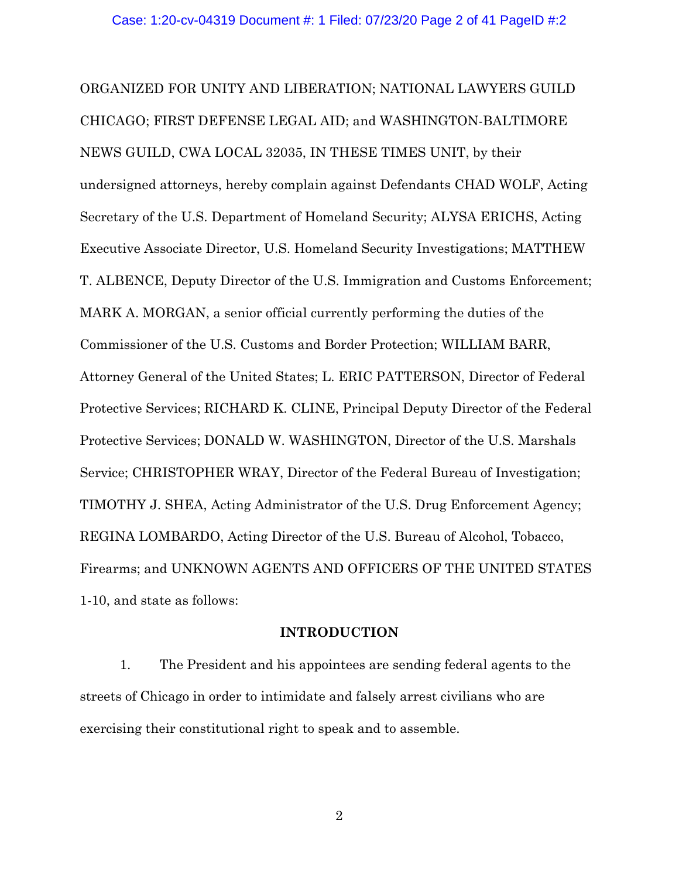ORGANIZED FOR UNITY AND LIBERATION; NATIONAL LAWYERS GUILD CHICAGO; FIRST DEFENSE LEGAL AID; and WASHINGTON-BALTIMORE NEWS GUILD, CWA LOCAL 32035, IN THESE TIMES UNIT, by their undersigned attorneys, hereby complain against Defendants CHAD WOLF, Acting Secretary of the U.S. Department of Homeland Security; ALYSA ERICHS, Acting Executive Associate Director, U.S. Homeland Security Investigations; MATTHEW T. ALBENCE, Deputy Director of the U.S. Immigration and Customs Enforcement; MARK A. MORGAN, a senior official currently performing the duties of the Commissioner of the U.S. Customs and Border Protection; WILLIAM BARR, Attorney General of the United States; L. ERIC PATTERSON, Director of Federal Protective Services; RICHARD K. CLINE, Principal Deputy Director of the Federal Protective Services; DONALD W. WASHINGTON, Director of the U.S. Marshals Service; CHRISTOPHER WRAY, Director of the Federal Bureau of Investigation; TIMOTHY J. SHEA, Acting Administrator of the U.S. Drug Enforcement Agency; REGINA LOMBARDO, Acting Director of the U.S. Bureau of Alcohol, Tobacco, Firearms; and UNKNOWN AGENTS AND OFFICERS OF THE UNITED STATES 1-10, and state as follows:

# **INTRODUCTION**

1. The President and his appointees are sending federal agents to the streets of Chicago in order to intimidate and falsely arrest civilians who are exercising their constitutional right to speak and to assemble.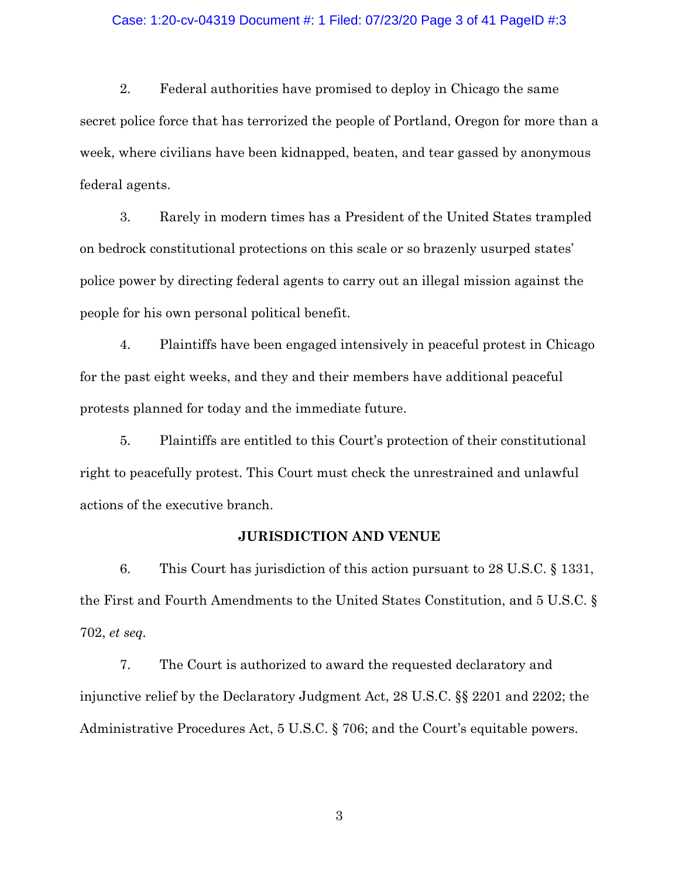### Case: 1:20-cv-04319 Document #: 1 Filed: 07/23/20 Page 3 of 41 PageID #:3

2. Federal authorities have promised to deploy in Chicago the same secret police force that has terrorized the people of Portland, Oregon for more than a week, where civilians have been kidnapped, beaten, and tear gassed by anonymous federal agents.

3. Rarely in modern times has a President of the United States trampled on bedrock constitutional protections on this scale or so brazenly usurped states' police power by directing federal agents to carry out an illegal mission against the people for his own personal political benefit.

4. Plaintiffs have been engaged intensively in peaceful protest in Chicago for the past eight weeks, and they and their members have additional peaceful protests planned for today and the immediate future.

5. Plaintiffs are entitled to this Court's protection of their constitutional right to peacefully protest. This Court must check the unrestrained and unlawful actions of the executive branch.

## **JURISDICTION AND VENUE**

6. This Court has jurisdiction of this action pursuant to 28 U.S.C. § 1331, the First and Fourth Amendments to the United States Constitution, and 5 U.S.C. § 702, *et seq.*

7. The Court is authorized to award the requested declaratory and injunctive relief by the Declaratory Judgment Act, 28 U.S.C. §§ 2201 and 2202; the Administrative Procedures Act, 5 U.S.C. § 706; and the Court's equitable powers.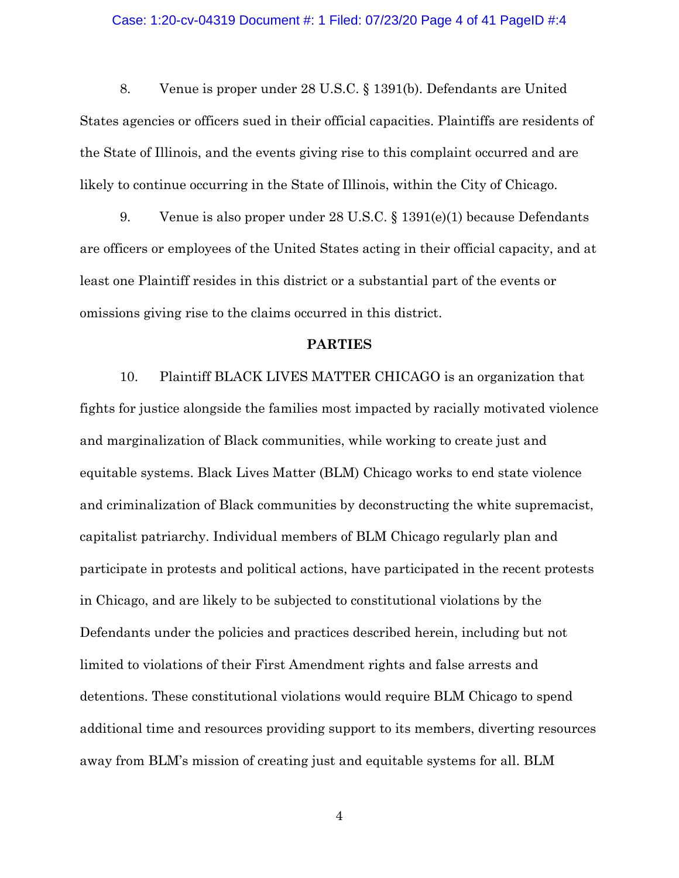### Case: 1:20-cv-04319 Document #: 1 Filed: 07/23/20 Page 4 of 41 PageID #:4

8. Venue is proper under 28 U.S.C. § 1391(b). Defendants are United States agencies or officers sued in their official capacities. Plaintiffs are residents of the State of Illinois, and the events giving rise to this complaint occurred and are likely to continue occurring in the State of Illinois, within the City of Chicago.

9. Venue is also proper under 28 U.S.C. § 1391(e)(1) because Defendants are officers or employees of the United States acting in their official capacity, and at least one Plaintiff resides in this district or a substantial part of the events or omissions giving rise to the claims occurred in this district.

#### **PARTIES**

10. Plaintiff BLACK LIVES MATTER CHICAGO is an organization that fights for justice alongside the families most impacted by racially motivated violence and marginalization of Black communities, while working to create just and equitable systems. Black Lives Matter (BLM) Chicago works to end state violence and criminalization of Black communities by deconstructing the white supremacist, capitalist patriarchy. Individual members of BLM Chicago regularly plan and participate in protests and political actions, have participated in the recent protests in Chicago, and are likely to be subjected to constitutional violations by the Defendants under the policies and practices described herein, including but not limited to violations of their First Amendment rights and false arrests and detentions. These constitutional violations would require BLM Chicago to spend additional time and resources providing support to its members, diverting resources away from BLM's mission of creating just and equitable systems for all. BLM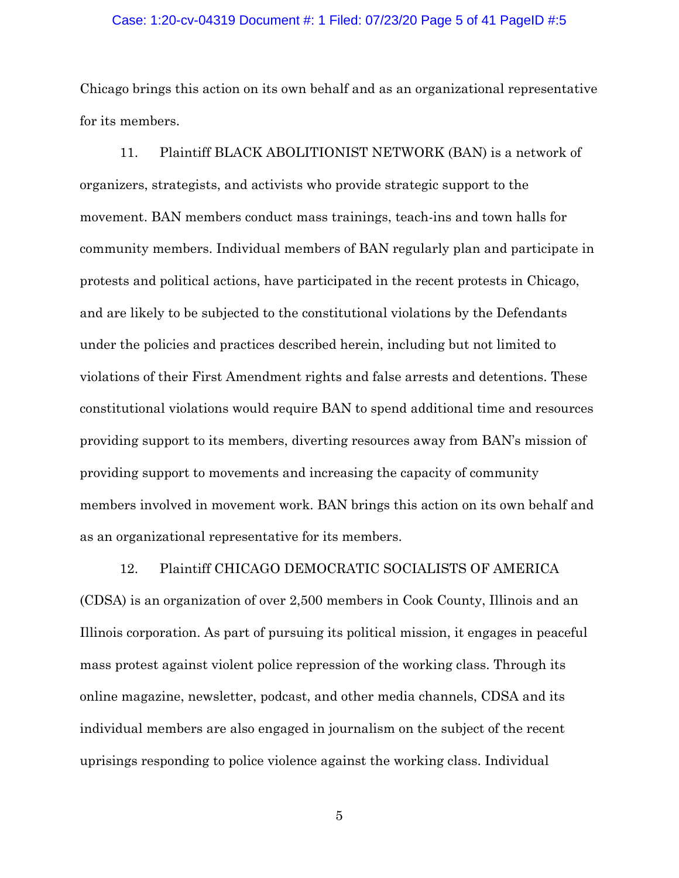### Case: 1:20-cv-04319 Document #: 1 Filed: 07/23/20 Page 5 of 41 PageID #:5

Chicago brings this action on its own behalf and as an organizational representative for its members.

11. Plaintiff BLACK ABOLITIONIST NETWORK (BAN) is a network of organizers, strategists, and activists who provide strategic support to the movement. BAN members conduct mass trainings, teach-ins and town halls for community members. Individual members of BAN regularly plan and participate in protests and political actions, have participated in the recent protests in Chicago, and are likely to be subjected to the constitutional violations by the Defendants under the policies and practices described herein, including but not limited to violations of their First Amendment rights and false arrests and detentions. These constitutional violations would require BAN to spend additional time and resources providing support to its members, diverting resources away from BAN's mission of providing support to movements and increasing the capacity of community members involved in movement work. BAN brings this action on its own behalf and as an organizational representative for its members.

12. Plaintiff CHICAGO DEMOCRATIC SOCIALISTS OF AMERICA

(CDSA) is an organization of over 2,500 members in Cook County, Illinois and an Illinois corporation. As part of pursuing its political mission, it engages in peaceful mass protest against violent police repression of the working class. Through its online magazine, newsletter, podcast, and other media channels, CDSA and its individual members are also engaged in journalism on the subject of the recent uprisings responding to police violence against the working class. Individual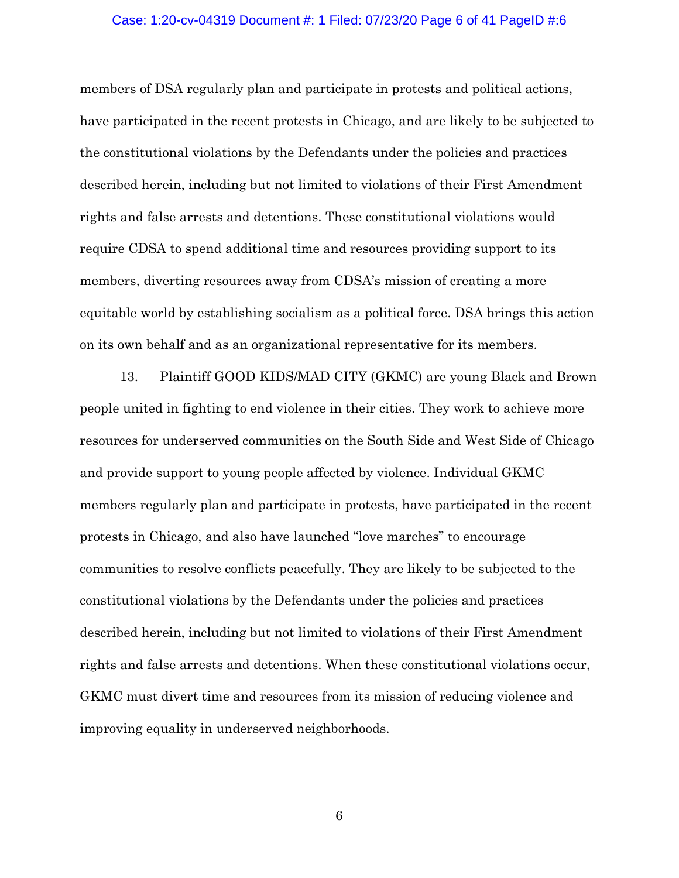### Case: 1:20-cv-04319 Document #: 1 Filed: 07/23/20 Page 6 of 41 PageID #:6

members of DSA regularly plan and participate in protests and political actions, have participated in the recent protests in Chicago, and are likely to be subjected to the constitutional violations by the Defendants under the policies and practices described herein, including but not limited to violations of their First Amendment rights and false arrests and detentions. These constitutional violations would require CDSA to spend additional time and resources providing support to its members, diverting resources away from CDSA's mission of creating a more equitable world by establishing socialism as a political force. DSA brings this action on its own behalf and as an organizational representative for its members.

13. Plaintiff GOOD KIDS/MAD CITY (GKMC) are young Black and Brown people united in fighting to end violence in their cities. They work to achieve more resources for underserved communities on the South Side and West Side of Chicago and provide support to young people affected by violence. Individual GKMC members regularly plan and participate in protests, have participated in the recent protests in Chicago, and also have launched "love marches" to encourage communities to resolve conflicts peacefully. They are likely to be subjected to the constitutional violations by the Defendants under the policies and practices described herein, including but not limited to violations of their First Amendment rights and false arrests and detentions. When these constitutional violations occur, GKMC must divert time and resources from its mission of reducing violence and improving equality in underserved neighborhoods.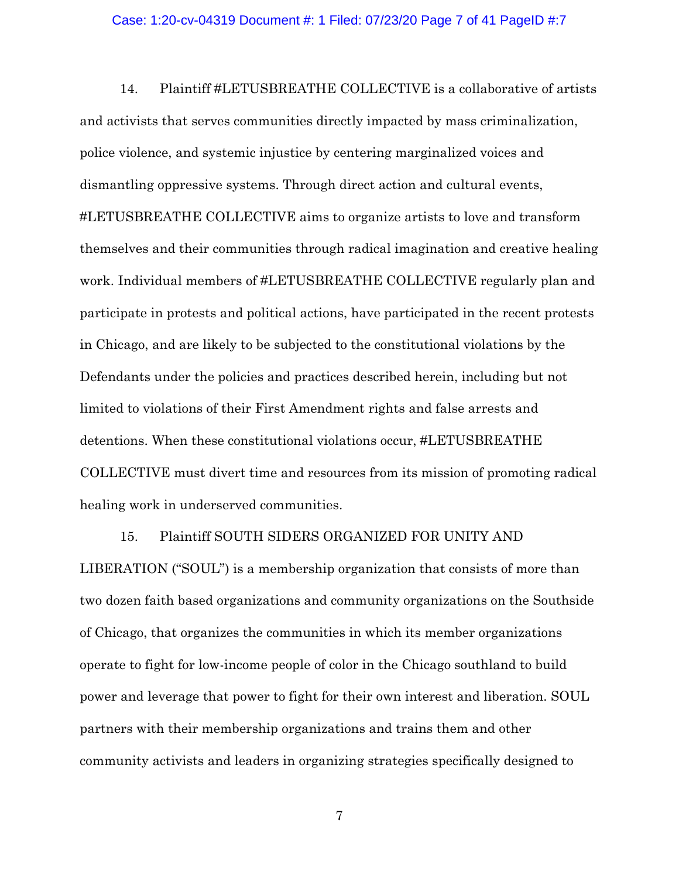#### Case: 1:20-cv-04319 Document #: 1 Filed: 07/23/20 Page 7 of 41 PageID #:7

14. Plaintiff #LETUSBREATHE COLLECTIVE is a collaborative of artists and activists that serves communities directly impacted by mass criminalization, police violence, and systemic injustice by centering marginalized voices and dismantling oppressive systems. Through direct action and cultural events, #LETUSBREATHE COLLECTIVE aims to organize artists to love and transform themselves and their communities through radical imagination and creative healing work. Individual members of #LETUSBREATHE COLLECTIVE regularly plan and participate in protests and political actions, have participated in the recent protests in Chicago, and are likely to be subjected to the constitutional violations by the Defendants under the policies and practices described herein, including but not limited to violations of their First Amendment rights and false arrests and detentions. When these constitutional violations occur, #LETUSBREATHE COLLECTIVE must divert time and resources from its mission of promoting radical healing work in underserved communities.

# 15. Plaintiff SOUTH SIDERS ORGANIZED FOR UNITY AND

LIBERATION ("SOUL") is a membership organization that consists of more than two dozen faith based organizations and community organizations on the Southside of Chicago, that organizes the communities in which its member organizations operate to fight for low-income people of color in the Chicago southland to build power and leverage that power to fight for their own interest and liberation. SOUL partners with their membership organizations and trains them and other community activists and leaders in organizing strategies specifically designed to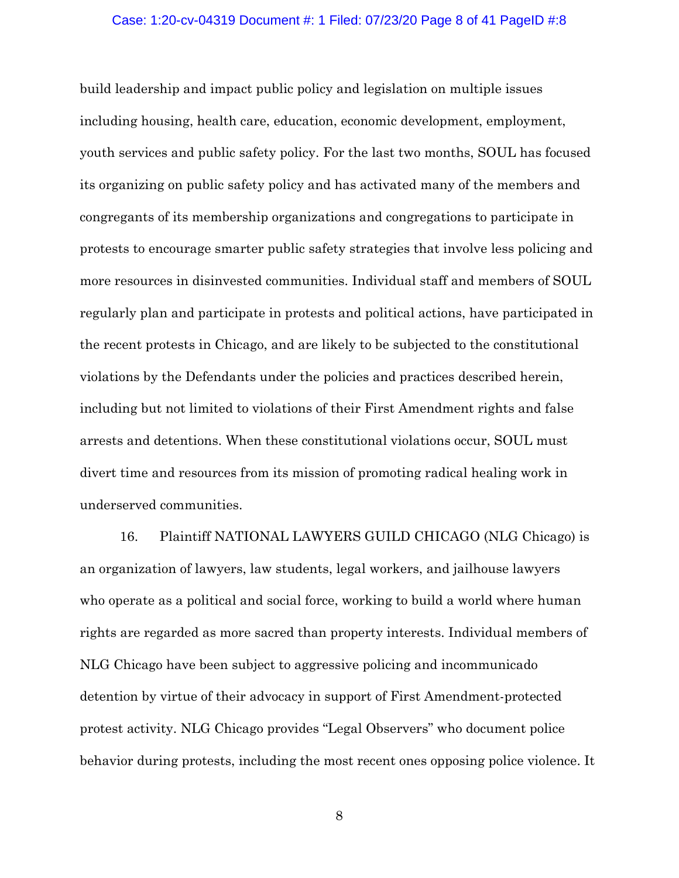### Case: 1:20-cv-04319 Document #: 1 Filed: 07/23/20 Page 8 of 41 PageID #:8

build leadership and impact public policy and legislation on multiple issues including housing, health care, education, economic development, employment, youth services and public safety policy. For the last two months, SOUL has focused its organizing on public safety policy and has activated many of the members and congregants of its membership organizations and congregations to participate in protests to encourage smarter public safety strategies that involve less policing and more resources in disinvested communities. Individual staff and members of SOUL regularly plan and participate in protests and political actions, have participated in the recent protests in Chicago, and are likely to be subjected to the constitutional violations by the Defendants under the policies and practices described herein, including but not limited to violations of their First Amendment rights and false arrests and detentions. When these constitutional violations occur, SOUL must divert time and resources from its mission of promoting radical healing work in underserved communities.

16. Plaintiff NATIONAL LAWYERS GUILD CHICAGO (NLG Chicago) is an organization of lawyers, law students, legal workers, and jailhouse lawyers who operate as a political and social force, working to build a world where human rights are regarded as more sacred than property interests. Individual members of NLG Chicago have been subject to aggressive policing and incommunicado detention by virtue of their advocacy in support of First Amendment-protected protest activity. NLG Chicago provides "Legal Observers" who document police behavior during protests, including the most recent ones opposing police violence. It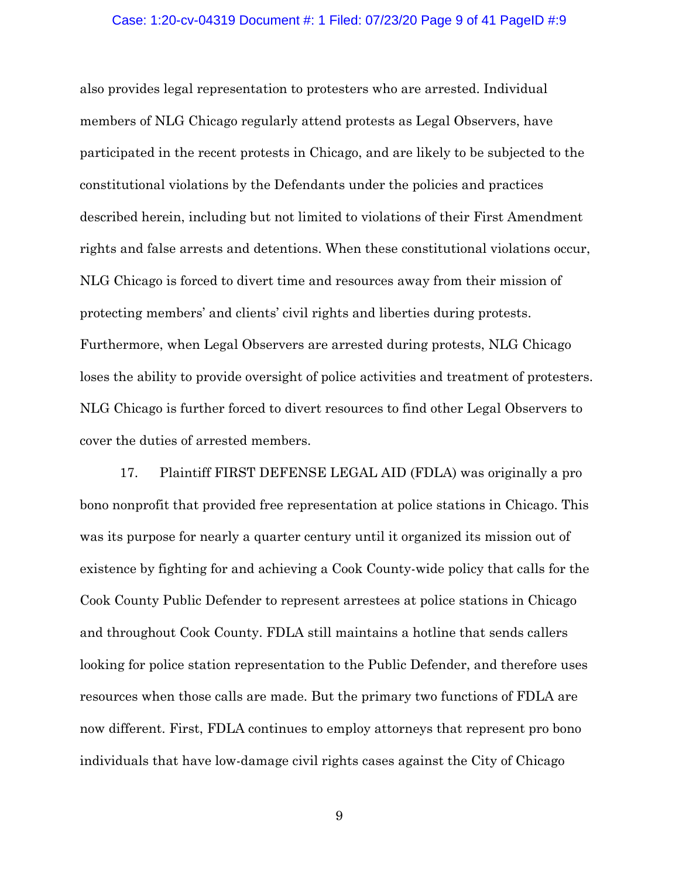## Case: 1:20-cv-04319 Document #: 1 Filed: 07/23/20 Page 9 of 41 PageID #:9

also provides legal representation to protesters who are arrested. Individual members of NLG Chicago regularly attend protests as Legal Observers, have participated in the recent protests in Chicago, and are likely to be subjected to the constitutional violations by the Defendants under the policies and practices described herein, including but not limited to violations of their First Amendment rights and false arrests and detentions. When these constitutional violations occur, NLG Chicago is forced to divert time and resources away from their mission of protecting members' and clients' civil rights and liberties during protests. Furthermore, when Legal Observers are arrested during protests, NLG Chicago loses the ability to provide oversight of police activities and treatment of protesters. NLG Chicago is further forced to divert resources to find other Legal Observers to cover the duties of arrested members.

17. Plaintiff FIRST DEFENSE LEGAL AID (FDLA) was originally a pro bono nonprofit that provided free representation at police stations in Chicago. This was its purpose for nearly a quarter century until it organized its mission out of existence by fighting for and achieving a Cook County-wide policy that calls for the Cook County Public Defender to represent arrestees at police stations in Chicago and throughout Cook County. FDLA still maintains a hotline that sends callers looking for police station representation to the Public Defender, and therefore uses resources when those calls are made. But the primary two functions of FDLA are now different. First, FDLA continues to employ attorneys that represent pro bono individuals that have low-damage civil rights cases against the City of Chicago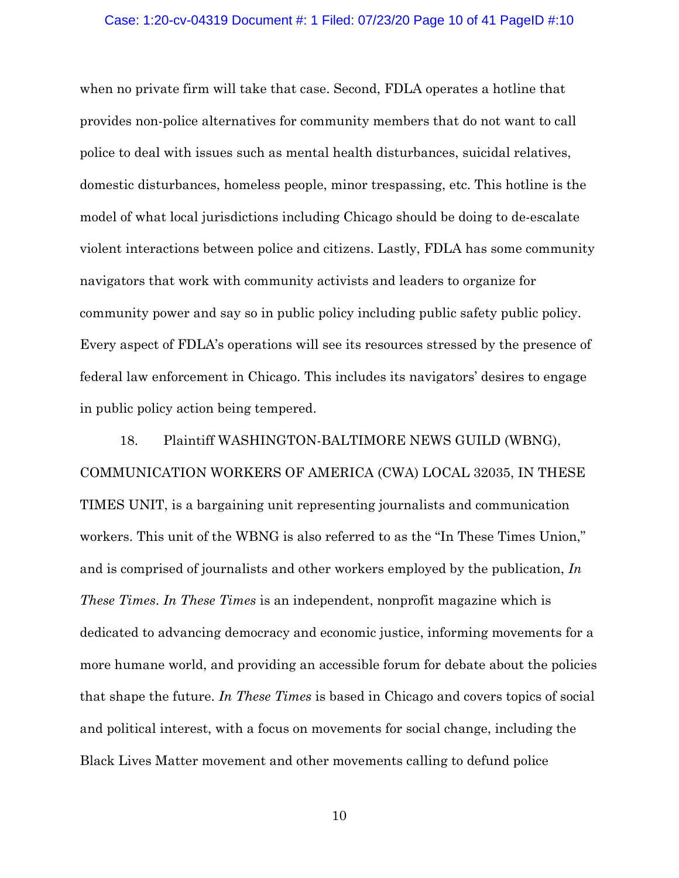#### Case: 1:20-cv-04319 Document #: 1 Filed: 07/23/20 Page 10 of 41 PageID #:10

when no private firm will take that case. Second, FDLA operates a hotline that provides non-police alternatives for community members that do not want to call police to deal with issues such as mental health disturbances, suicidal relatives, domestic disturbances, homeless people, minor trespassing, etc. This hotline is the model of what local jurisdictions including Chicago should be doing to de-escalate violent interactions between police and citizens. Lastly, FDLA has some community navigators that work with community activists and leaders to organize for community power and say so in public policy including public safety public policy. Every aspect of FDLA's operations will see its resources stressed by the presence of federal law enforcement in Chicago. This includes its navigators' desires to engage in public policy action being tempered.

18. Plaintiff WASHINGTON-BALTIMORE NEWS GUILD (WBNG), COMMUNICATION WORKERS OF AMERICA (CWA) LOCAL 32035, IN THESE TIMES UNIT, is a bargaining unit representing journalists and communication workers. This unit of the WBNG is also referred to as the "In These Times Union," and is comprised of journalists and other workers employed by the publication, *In These Times*. *In These Times* is an independent, nonprofit magazine which is dedicated to advancing democracy and economic justice, informing movements for a more humane world, and providing an accessible forum for debate about the policies that shape the future. *In These Times* is based in Chicago and covers topics of social and political interest, with a focus on movements for social change, including the Black Lives Matter movement and other movements calling to defund police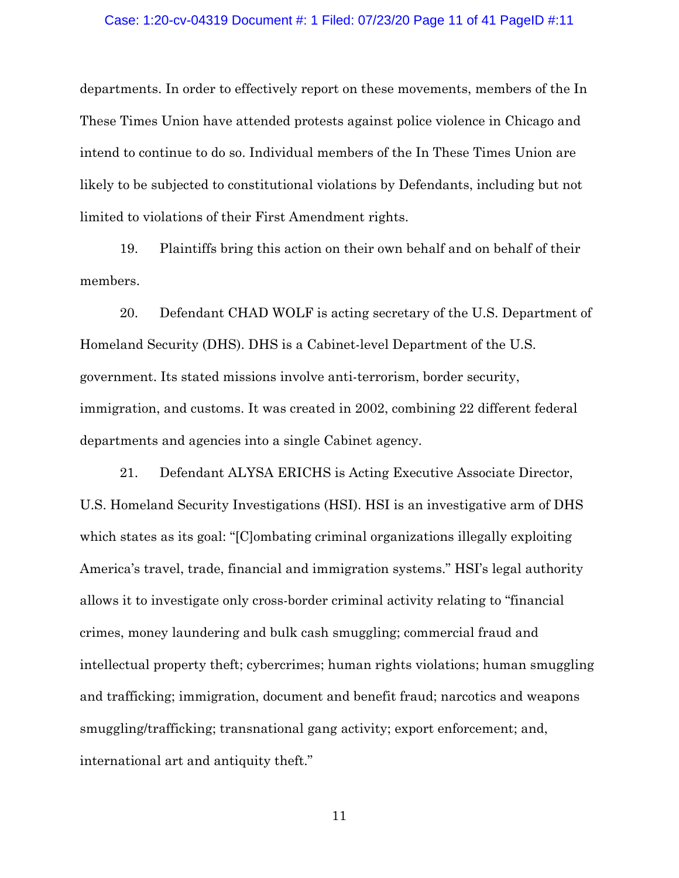#### Case: 1:20-cv-04319 Document #: 1 Filed: 07/23/20 Page 11 of 41 PageID #:11

departments. In order to effectively report on these movements, members of the In These Times Union have attended protests against police violence in Chicago and intend to continue to do so. Individual members of the In These Times Union are likely to be subjected to constitutional violations by Defendants, including but not limited to violations of their First Amendment rights.

19. Plaintiffs bring this action on their own behalf and on behalf of their members.

20. Defendant CHAD WOLF is acting secretary of the U.S. Department of Homeland Security (DHS). DHS is a Cabinet-level Department of the U.S. government. Its stated missions involve anti-terrorism, border security, immigration, and customs. It was created in 2002, combining 22 different federal departments and agencies into a single Cabinet agency.

21. Defendant ALYSA ERICHS is Acting Executive Associate Director, U.S. Homeland Security Investigations (HSI). HSI is an investigative arm of DHS which states as its goal: "[C]ombating criminal organizations illegally exploiting America's travel, trade, financial and immigration systems." HSI's legal authority allows it to investigate only cross-border criminal activity relating to "financial crimes, money laundering and bulk cash smuggling; commercial fraud and intellectual property theft; cybercrimes; human rights violations; human smuggling and trafficking; immigration, document and benefit fraud; narcotics and weapons smuggling/trafficking; transnational gang activity; export enforcement; and, international art and antiquity theft."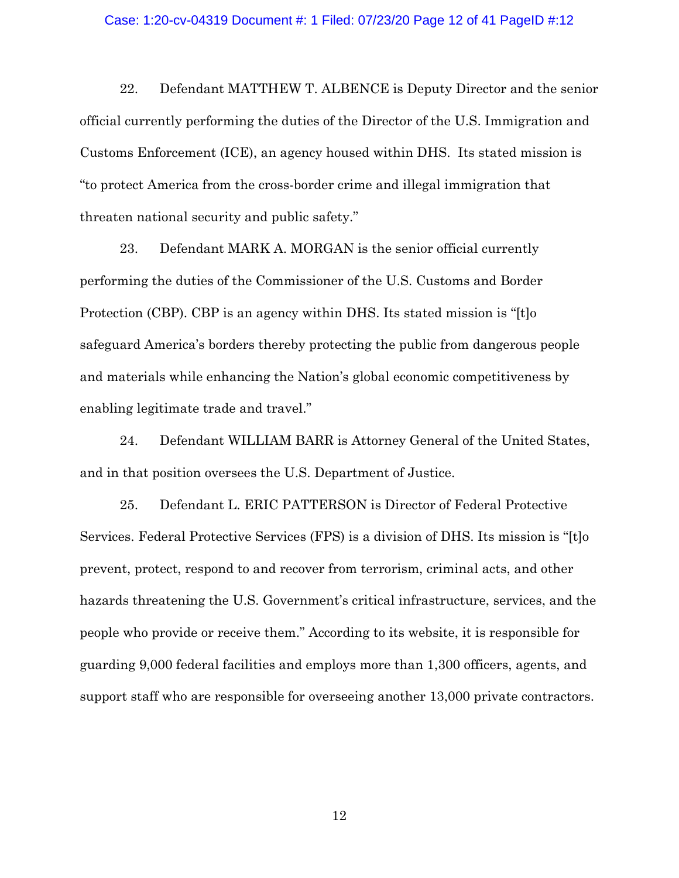#### Case: 1:20-cv-04319 Document #: 1 Filed: 07/23/20 Page 12 of 41 PageID #:12

22. Defendant MATTHEW T. ALBENCE is Deputy Director and the senior official currently performing the duties of the Director of the U.S. Immigration and Customs Enforcement (ICE), an agency housed within DHS. Its stated mission is "to protect America from the cross-border crime and illegal immigration that threaten national security and public safety."

23. Defendant MARK A. MORGAN is the senior official currently performing the duties of the Commissioner of the U.S. Customs and Border Protection (CBP). CBP is an agency within DHS. Its stated mission is "[t]o safeguard America's borders thereby protecting the public from dangerous people and materials while enhancing the Nation's global economic competitiveness by enabling legitimate trade and travel."

24. Defendant WILLIAM BARR is Attorney General of the United States, and in that position oversees the U.S. Department of Justice.

25. Defendant L. ERIC PATTERSON is Director of Federal Protective Services. Federal Protective Services (FPS) is a division of DHS. Its mission is "[t]o prevent, protect, respond to and recover from terrorism, criminal acts, and other hazards threatening the U.S. Government's critical infrastructure, services, and the people who provide or receive them." According to its website, it is responsible for guarding 9,000 federal facilities and employs more than 1,300 officers, agents, and support staff who are responsible for overseeing another 13,000 private contractors.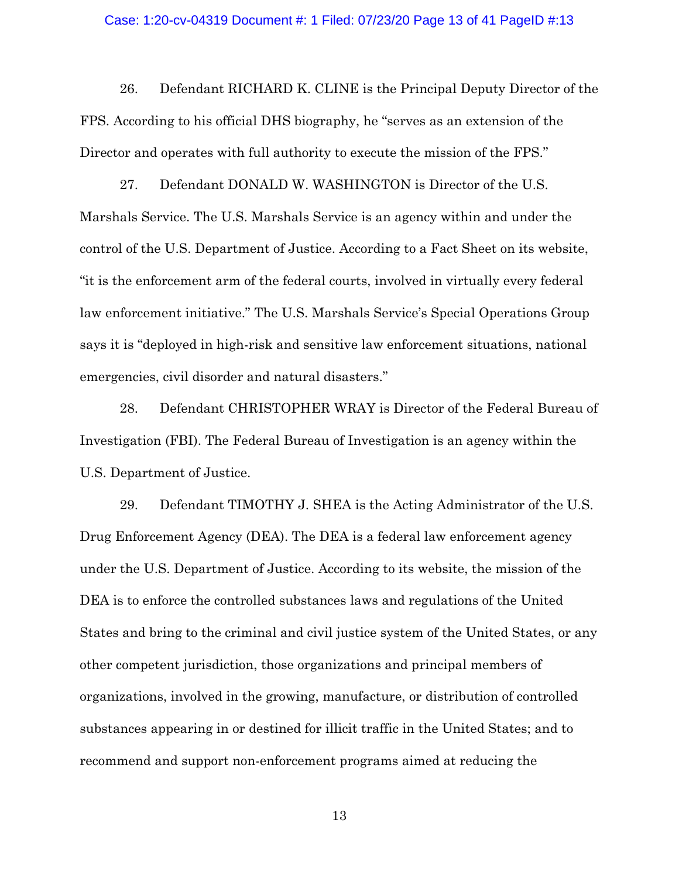#### Case: 1:20-cv-04319 Document #: 1 Filed: 07/23/20 Page 13 of 41 PageID #:13

26. Defendant RICHARD K. CLINE is the Principal Deputy Director of the FPS. According to his official DHS biography, he "serves as an extension of the Director and operates with full authority to execute the mission of the FPS."

27. Defendant DONALD W. WASHINGTON is Director of the U.S. Marshals Service. The U.S. Marshals Service is an agency within and under the control of the U.S. Department of Justice. According to a Fact Sheet on its website, "it is the enforcement arm of the federal courts, involved in virtually every federal law enforcement initiative." The U.S. Marshals Service's Special Operations Group says it is "deployed in high-risk and sensitive law enforcement situations, national emergencies, civil disorder and natural disasters."

28. Defendant CHRISTOPHER WRAY is Director of the Federal Bureau of Investigation (FBI). The Federal Bureau of Investigation is an agency within the U.S. Department of Justice.

29. Defendant TIMOTHY J. SHEA is the Acting Administrator of the U.S. Drug Enforcement Agency (DEA). The DEA is a federal law enforcement agency under the U.S. Department of Justice. According to its website, the mission of the DEA is to enforce the controlled substances laws and regulations of the United States and bring to the criminal and civil justice system of the United States, or any other competent jurisdiction, those organizations and principal members of organizations, involved in the growing, manufacture, or distribution of controlled substances appearing in or destined for illicit traffic in the United States; and to recommend and support non-enforcement programs aimed at reducing the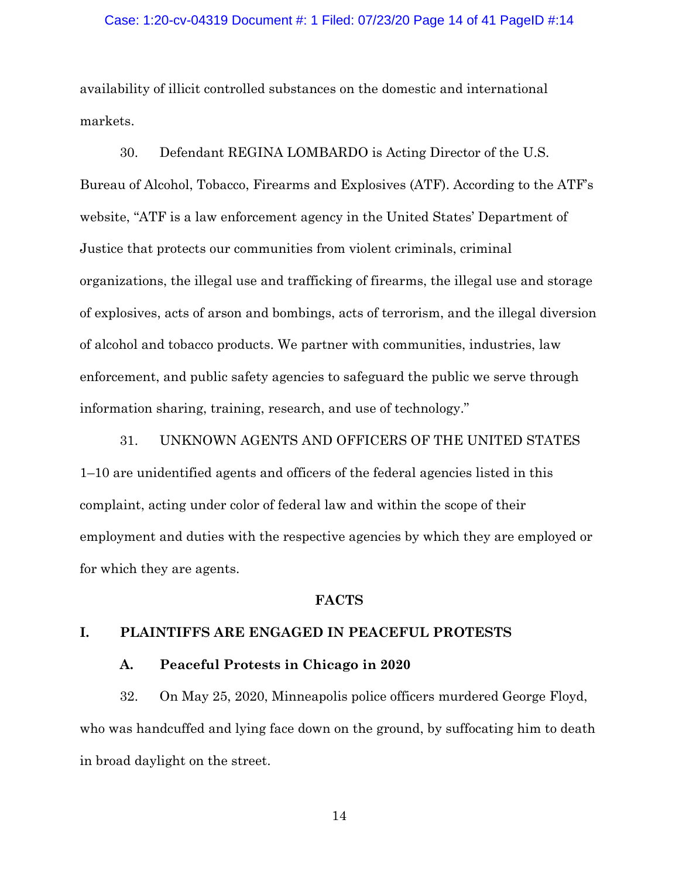#### Case: 1:20-cv-04319 Document #: 1 Filed: 07/23/20 Page 14 of 41 PageID #:14

availability of illicit controlled substances on the domestic and international markets.

30. Defendant REGINA LOMBARDO is Acting Director of the U.S. Bureau of Alcohol, Tobacco, Firearms and Explosives (ATF). According to the ATF's website, "ATF is a law enforcement agency in the United States' Department of Justice that protects our communities from violent criminals, criminal organizations, the illegal use and trafficking of firearms, the illegal use and storage of explosives, acts of arson and bombings, acts of terrorism, and the illegal diversion of alcohol and tobacco products. We partner with communities, industries, law enforcement, and public safety agencies to safeguard the public we serve through information sharing, training, research, and use of technology."

31. UNKNOWN AGENTS AND OFFICERS OF THE UNITED STATES 1–10 are unidentified agents and officers of the federal agencies listed in this complaint, acting under color of federal law and within the scope of their employment and duties with the respective agencies by which they are employed or for which they are agents.

#### **FACTS**

## **I. PLAINTIFFS ARE ENGAGED IN PEACEFUL PROTESTS**

## **A. Peaceful Protests in Chicago in 2020**

32. On May 25, 2020, Minneapolis police officers murdered George Floyd, who was handcuffed and lying face down on the ground, by suffocating him to death in broad daylight on the street.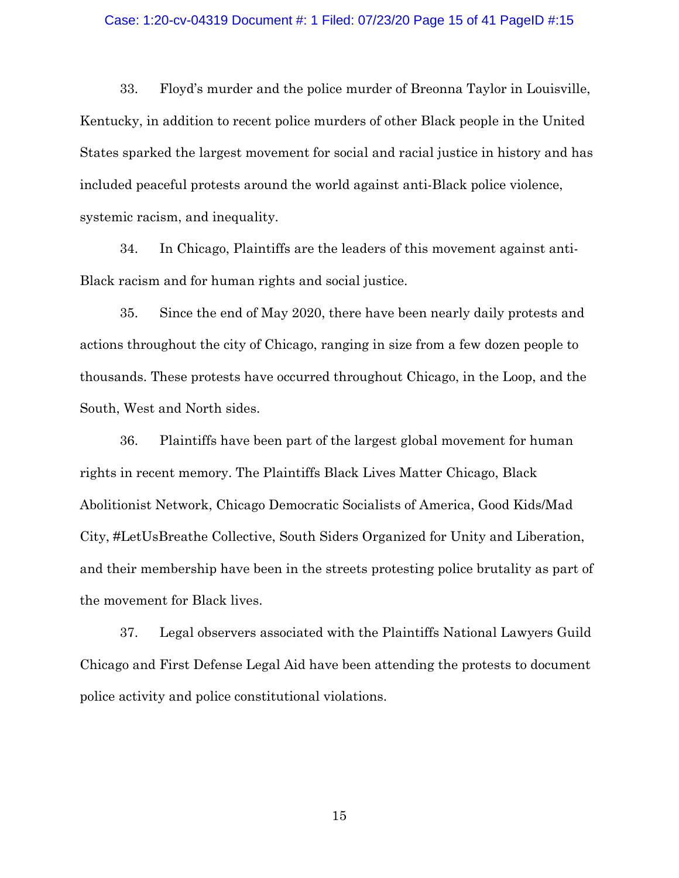#### Case: 1:20-cv-04319 Document #: 1 Filed: 07/23/20 Page 15 of 41 PageID #:15

33. Floyd's murder and the police murder of Breonna Taylor in Louisville, Kentucky, in addition to recent police murders of other Black people in the United States sparked the largest movement for social and racial justice in history and has included peaceful protests around the world against anti-Black police violence, systemic racism, and inequality.

34. In Chicago, Plaintiffs are the leaders of this movement against anti-Black racism and for human rights and social justice.

35. Since the end of May 2020, there have been nearly daily protests and actions throughout the city of Chicago, ranging in size from a few dozen people to thousands. These protests have occurred throughout Chicago, in the Loop, and the South, West and North sides.

36. Plaintiffs have been part of the largest global movement for human rights in recent memory. The Plaintiffs Black Lives Matter Chicago, Black Abolitionist Network, Chicago Democratic Socialists of America, Good Kids/Mad City, #LetUsBreathe Collective, South Siders Organized for Unity and Liberation, and their membership have been in the streets protesting police brutality as part of the movement for Black lives.

37. Legal observers associated with the Plaintiffs National Lawyers Guild Chicago and First Defense Legal Aid have been attending the protests to document police activity and police constitutional violations.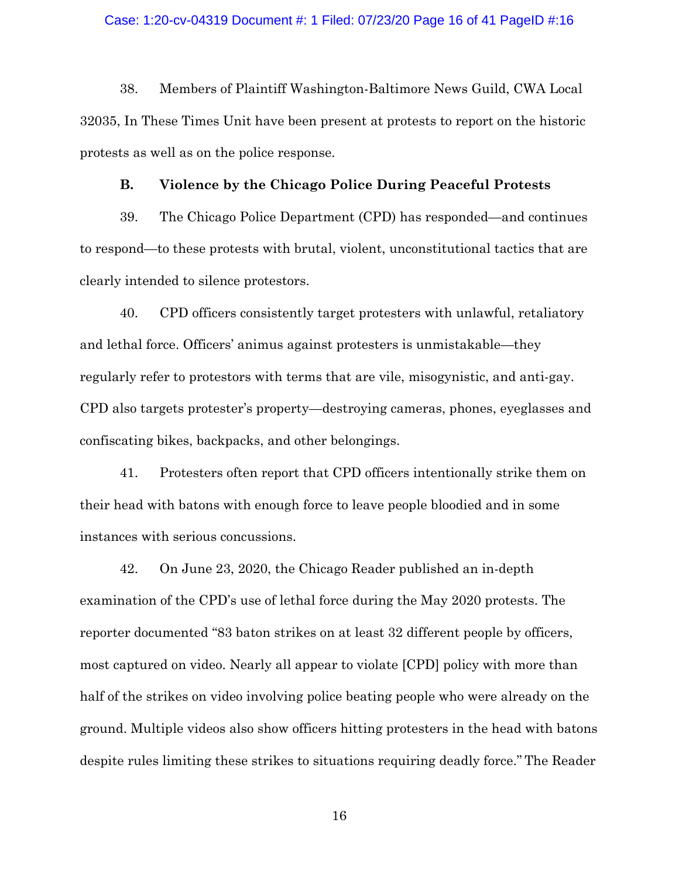## Case: 1:20-cv-04319 Document #: 1 Filed: 07/23/20 Page 16 of 41 PageID #:16

38. Members of Plaintiff Washington-Baltimore News Guild, CWA Local 32035, In These Times Unit have been present at protests to report on the historic protests as well as on the police response.

## **B. Violence by the Chicago Police During Peaceful Protests**

39. The Chicago Police Department (CPD) has responded—and continues to respond—to these protests with brutal, violent, unconstitutional tactics that are clearly intended to silence protestors.

40. CPD officers consistently target protesters with unlawful, retaliatory and lethal force. Officers' animus against protesters is unmistakable—they regularly refer to protestors with terms that are vile, misogynistic, and anti-gay. CPD also targets protester's property—destroying cameras, phones, eyeglasses and confiscating bikes, backpacks, and other belongings.

41. Protesters often report that CPD officers intentionally strike them on their head with batons with enough force to leave people bloodied and in some instances with serious concussions.

42. On June 23, 2020, the Chicago Reader published an in-depth examination of the CPD's use of lethal force during the May 2020 protests. The reporter documented "83 baton strikes on at least 32 different people by officers, most captured on video. Nearly all appear to violate [CPD] policy with more than half of the strikes on video involving police beating people who were already on the ground. Multiple videos also show officers hitting protesters in the head with batons despite rules limiting these strikes to situations requiring deadly force." The Reader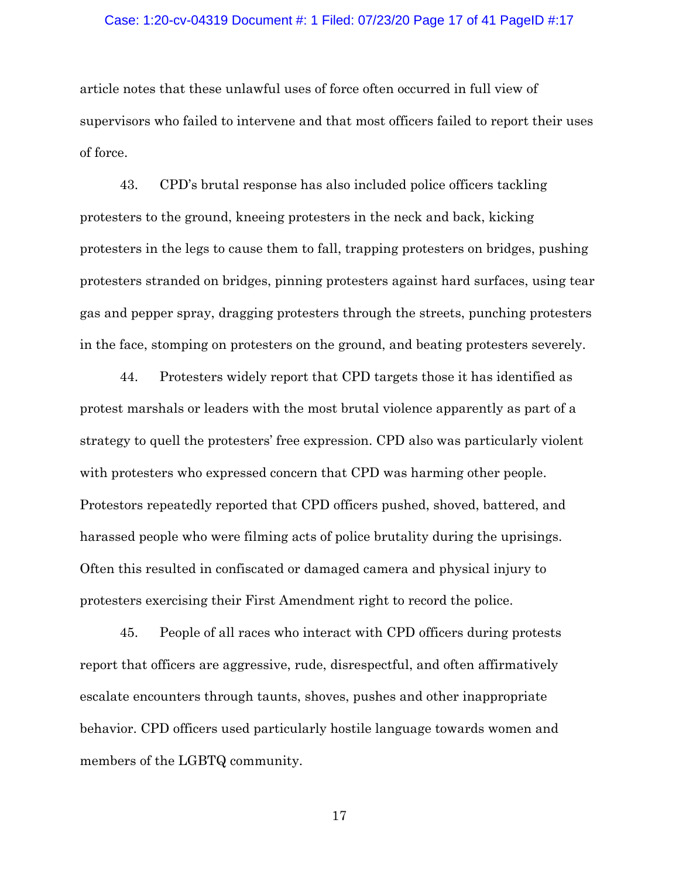### Case: 1:20-cv-04319 Document #: 1 Filed: 07/23/20 Page 17 of 41 PageID #:17

article notes that these unlawful uses of force often occurred in full view of supervisors who failed to intervene and that most officers failed to report their uses of force.

43. CPD's brutal response has also included police officers tackling protesters to the ground, kneeing protesters in the neck and back, kicking protesters in the legs to cause them to fall, trapping protesters on bridges, pushing protesters stranded on bridges, pinning protesters against hard surfaces, using tear gas and pepper spray, dragging protesters through the streets, punching protesters in the face, stomping on protesters on the ground, and beating protesters severely.

44. Protesters widely report that CPD targets those it has identified as protest marshals or leaders with the most brutal violence apparently as part of a strategy to quell the protesters' free expression. CPD also was particularly violent with protesters who expressed concern that CPD was harming other people. Protestors repeatedly reported that CPD officers pushed, shoved, battered, and harassed people who were filming acts of police brutality during the uprisings. Often this resulted in confiscated or damaged camera and physical injury to protesters exercising their First Amendment right to record the police.

45. People of all races who interact with CPD officers during protests report that officers are aggressive, rude, disrespectful, and often affirmatively escalate encounters through taunts, shoves, pushes and other inappropriate behavior. CPD officers used particularly hostile language towards women and members of the LGBTQ community.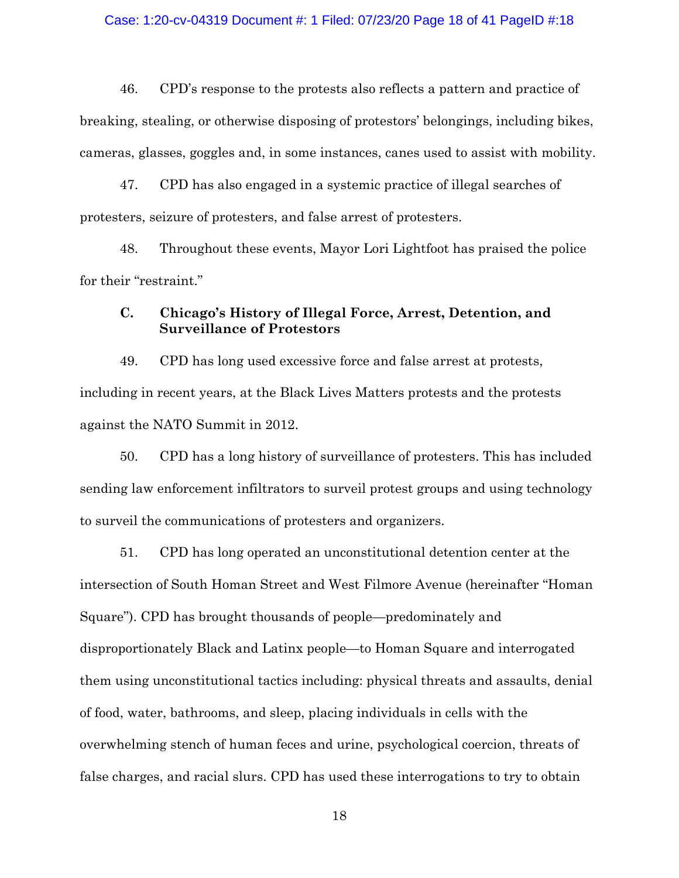### Case: 1:20-cv-04319 Document #: 1 Filed: 07/23/20 Page 18 of 41 PageID #:18

46. CPD's response to the protests also reflects a pattern and practice of breaking, stealing, or otherwise disposing of protestors' belongings, including bikes, cameras, glasses, goggles and, in some instances, canes used to assist with mobility.

47. CPD has also engaged in a systemic practice of illegal searches of protesters, seizure of protesters, and false arrest of protesters.

48. Throughout these events, Mayor Lori Lightfoot has praised the police for their "restraint."

# **C. Chicago's History of Illegal Force, Arrest, Detention, and Surveillance of Protestors**

49. CPD has long used excessive force and false arrest at protests, including in recent years, at the Black Lives Matters protests and the protests against the NATO Summit in 2012.

50. CPD has a long history of surveillance of protesters. This has included sending law enforcement infiltrators to surveil protest groups and using technology to surveil the communications of protesters and organizers.

51. CPD has long operated an unconstitutional detention center at the intersection of South Homan Street and West Filmore Avenue (hereinafter "Homan Square"). CPD has brought thousands of people—predominately and disproportionately Black and Latinx people—to Homan Square and interrogated them using unconstitutional tactics including: physical threats and assaults, denial of food, water, bathrooms, and sleep, placing individuals in cells with the overwhelming stench of human feces and urine, psychological coercion, threats of false charges, and racial slurs. CPD has used these interrogations to try to obtain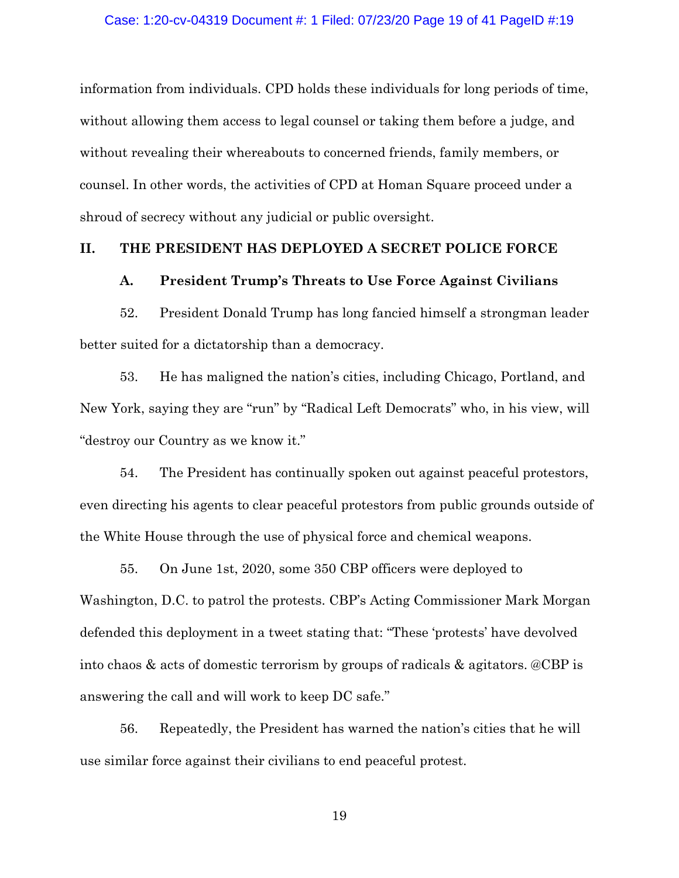information from individuals. CPD holds these individuals for long periods of time, without allowing them access to legal counsel or taking them before a judge, and without revealing their whereabouts to concerned friends, family members, or counsel. In other words, the activities of CPD at Homan Square proceed under a shroud of secrecy without any judicial or public oversight.

### **II. THE PRESIDENT HAS DEPLOYED A SECRET POLICE FORCE**

## **A. President Trump's Threats to Use Force Against Civilians**

52. President Donald Trump has long fancied himself a strongman leader better suited for a dictatorship than a democracy.

53. He has maligned the nation's cities, including Chicago, Portland, and New York, saying they are "run" by "Radical Left Democrats" who, in his view, will "destroy our Country as we know it."

54. The President has continually spoken out against peaceful protestors, even directing his agents to clear peaceful protestors from public grounds outside of the White House through the use of physical force and chemical weapons.

55. On June 1st, 2020, some 350 CBP officers were deployed to Washington, D.C. to patrol the protests. CBP's Acting Commissioner Mark Morgan defended this deployment in a tweet stating that: "These 'protests' have devolved into chaos & acts of domestic terrorism by groups of radicals & agitators. @CBP is answering the call and will work to keep DC safe."

56. Repeatedly, the President has warned the nation's cities that he will use similar force against their civilians to end peaceful protest.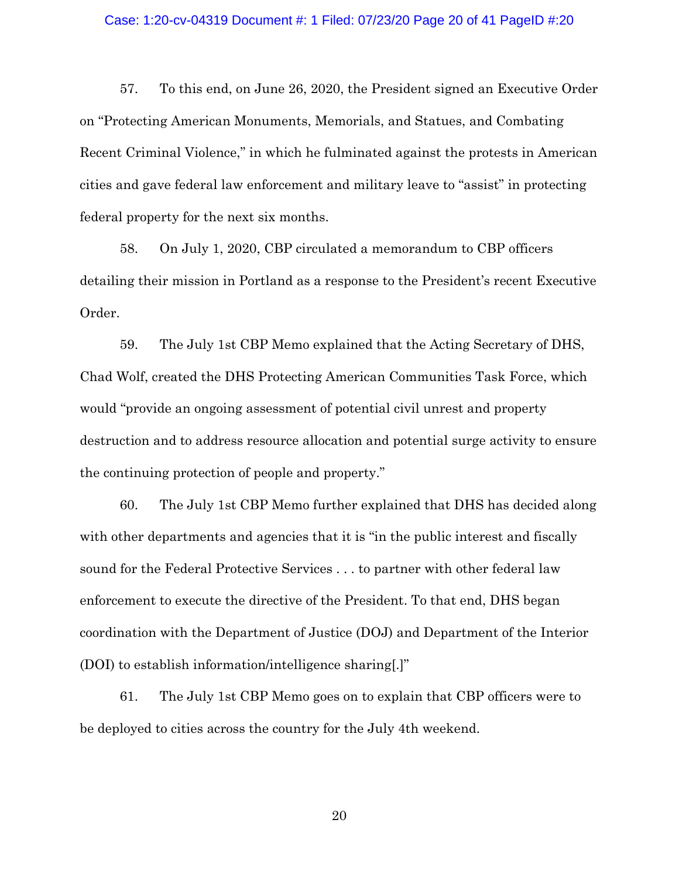#### Case: 1:20-cv-04319 Document #: 1 Filed: 07/23/20 Page 20 of 41 PageID #:20

57. To this end, on June 26, 2020, the President signed an Executive Order on "Protecting American Monuments, Memorials, and Statues, and Combating Recent Criminal Violence," in which he fulminated against the protests in American cities and gave federal law enforcement and military leave to "assist" in protecting federal property for the next six months.

58. On July 1, 2020, CBP circulated a memorandum to CBP officers detailing their mission in Portland as a response to the President's recent Executive Order.

59. The July 1st CBP Memo explained that the Acting Secretary of DHS, Chad Wolf, created the DHS Protecting American Communities Task Force, which would "provide an ongoing assessment of potential civil unrest and property destruction and to address resource allocation and potential surge activity to ensure the continuing protection of people and property."

60. The July 1st CBP Memo further explained that DHS has decided along with other departments and agencies that it is "in the public interest and fiscally sound for the Federal Protective Services . . . to partner with other federal law enforcement to execute the directive of the President. To that end, DHS began coordination with the Department of Justice (DOJ) and Department of the Interior (DOI) to establish information/intelligence sharing[.]"

61. The July 1st CBP Memo goes on to explain that CBP officers were to be deployed to cities across the country for the July 4th weekend.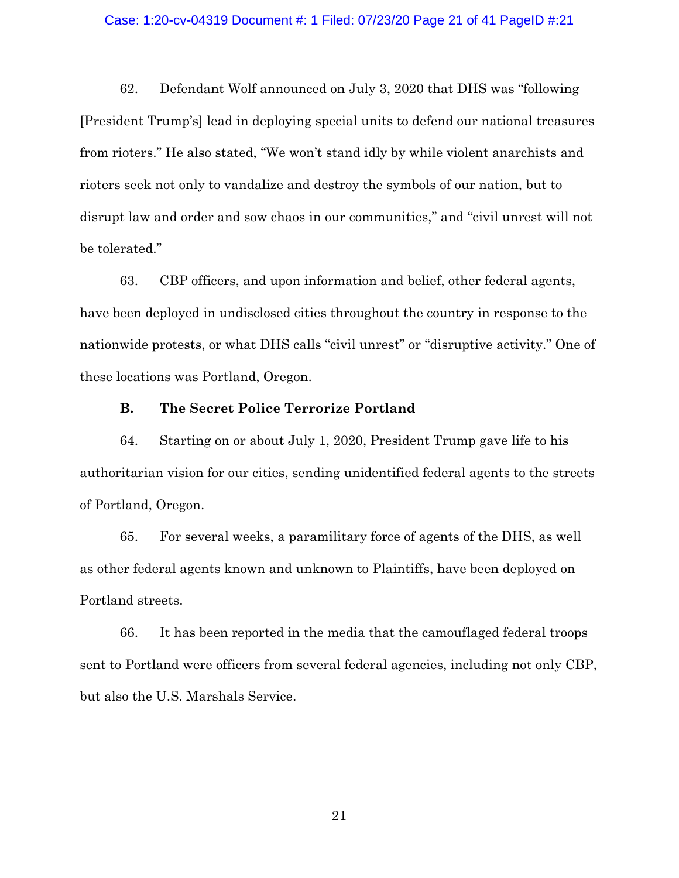#### Case: 1:20-cv-04319 Document #: 1 Filed: 07/23/20 Page 21 of 41 PageID #:21

62. Defendant Wolf announced on July 3, 2020 that DHS was "following [President Trump's] lead in deploying special units to defend our national treasures from rioters." He also stated, "We won't stand idly by while violent anarchists and rioters seek not only to vandalize and destroy the symbols of our nation, but to disrupt law and order and sow chaos in our communities," and "civil unrest will not be tolerated."

63. CBP officers, and upon information and belief, other federal agents, have been deployed in undisclosed cities throughout the country in response to the nationwide protests, or what DHS calls "civil unrest" or "disruptive activity." One of these locations was Portland, Oregon.

## **B. The Secret Police Terrorize Portland**

64. Starting on or about July 1, 2020, President Trump gave life to his authoritarian vision for our cities, sending unidentified federal agents to the streets of Portland, Oregon.

65. For several weeks, a paramilitary force of agents of the DHS, as well as other federal agents known and unknown to Plaintiffs, have been deployed on Portland streets.

66. It has been reported in the media that the camouflaged federal troops sent to Portland were officers from several federal agencies, including not only CBP, but also the U.S. Marshals Service.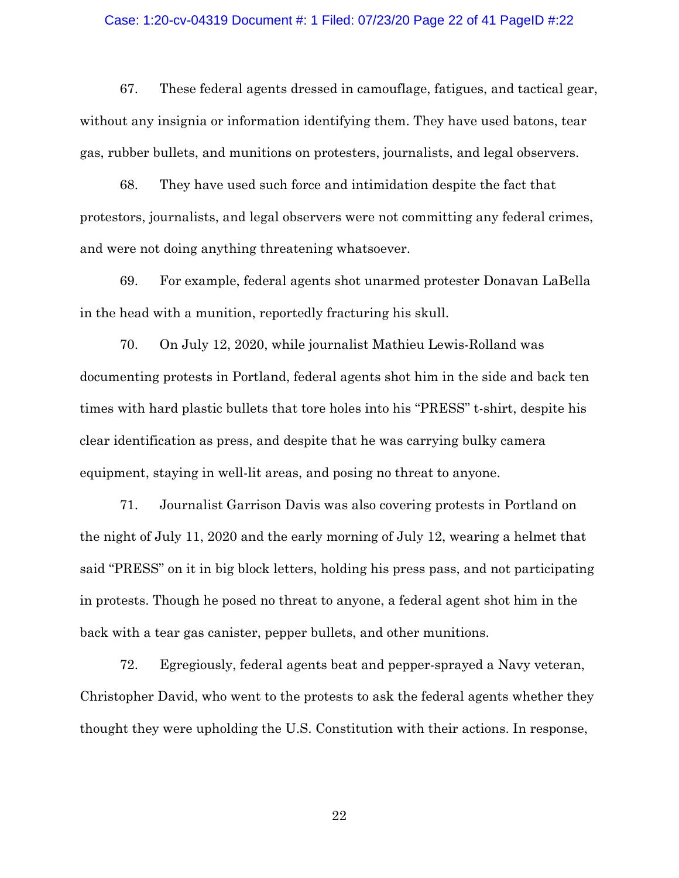## Case: 1:20-cv-04319 Document #: 1 Filed: 07/23/20 Page 22 of 41 PageID #:22

67. These federal agents dressed in camouflage, fatigues, and tactical gear, without any insignia or information identifying them. They have used batons, tear gas, rubber bullets, and munitions on protesters, journalists, and legal observers.

68. They have used such force and intimidation despite the fact that protestors, journalists, and legal observers were not committing any federal crimes, and were not doing anything threatening whatsoever.

69. For example, federal agents shot unarmed protester Donavan LaBella in the head with a munition, reportedly fracturing his skull.

70. On July 12, 2020, while journalist Mathieu Lewis-Rolland was documenting protests in Portland, federal agents shot him in the side and back ten times with hard plastic bullets that tore holes into his "PRESS" t-shirt, despite his clear identification as press, and despite that he was carrying bulky camera equipment, staying in well-lit areas, and posing no threat to anyone.

71. Journalist Garrison Davis was also covering protests in Portland on the night of July 11, 2020 and the early morning of July 12, wearing a helmet that said "PRESS" on it in big block letters, holding his press pass, and not participating in protests. Though he posed no threat to anyone, a federal agent shot him in the back with a tear gas canister, pepper bullets, and other munitions.

72. Egregiously, federal agents beat and pepper-sprayed a Navy veteran, Christopher David, who went to the protests to ask the federal agents whether they thought they were upholding the U.S. Constitution with their actions. In response,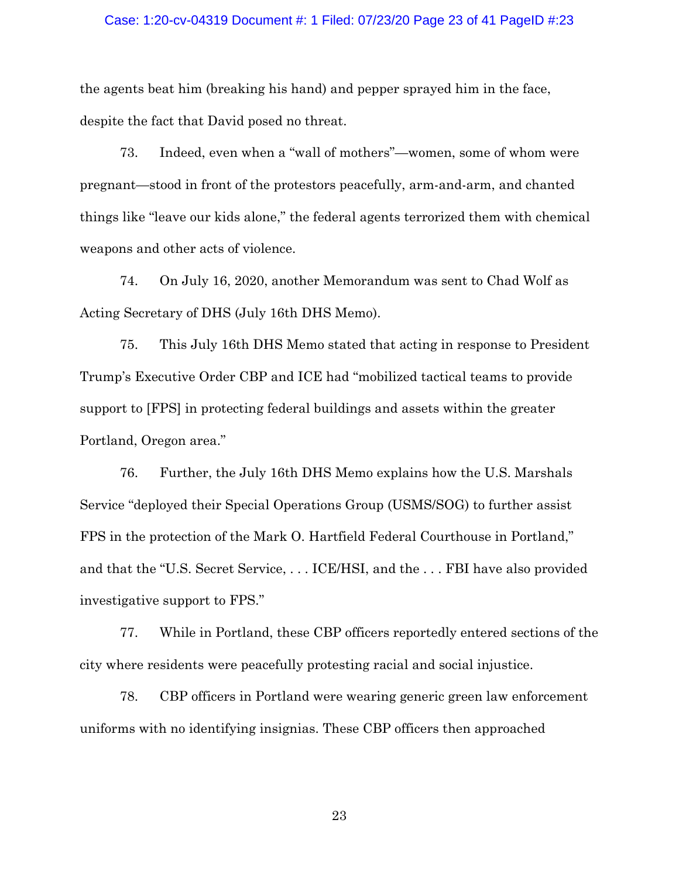#### Case: 1:20-cv-04319 Document #: 1 Filed: 07/23/20 Page 23 of 41 PageID #:23

the agents beat him (breaking his hand) and pepper sprayed him in the face, despite the fact that David posed no threat.

73. Indeed, even when a "wall of mothers"—women, some of whom were pregnant—stood in front of the protestors peacefully, arm-and-arm, and chanted things like "leave our kids alone," the federal agents terrorized them with chemical weapons and other acts of violence.

74. On July 16, 2020, another Memorandum was sent to Chad Wolf as Acting Secretary of DHS (July 16th DHS Memo).

75. This July 16th DHS Memo stated that acting in response to President Trump's Executive Order CBP and ICE had "mobilized tactical teams to provide support to [FPS] in protecting federal buildings and assets within the greater Portland, Oregon area."

76. Further, the July 16th DHS Memo explains how the U.S. Marshals Service "deployed their Special Operations Group (USMS/SOG) to further assist FPS in the protection of the Mark O. Hartfield Federal Courthouse in Portland," and that the "U.S. Secret Service, . . . ICE/HSI, and the . . . FBI have also provided investigative support to FPS."

77. While in Portland, these CBP officers reportedly entered sections of the city where residents were peacefully protesting racial and social injustice.

78. CBP officers in Portland were wearing generic green law enforcement uniforms with no identifying insignias. These CBP officers then approached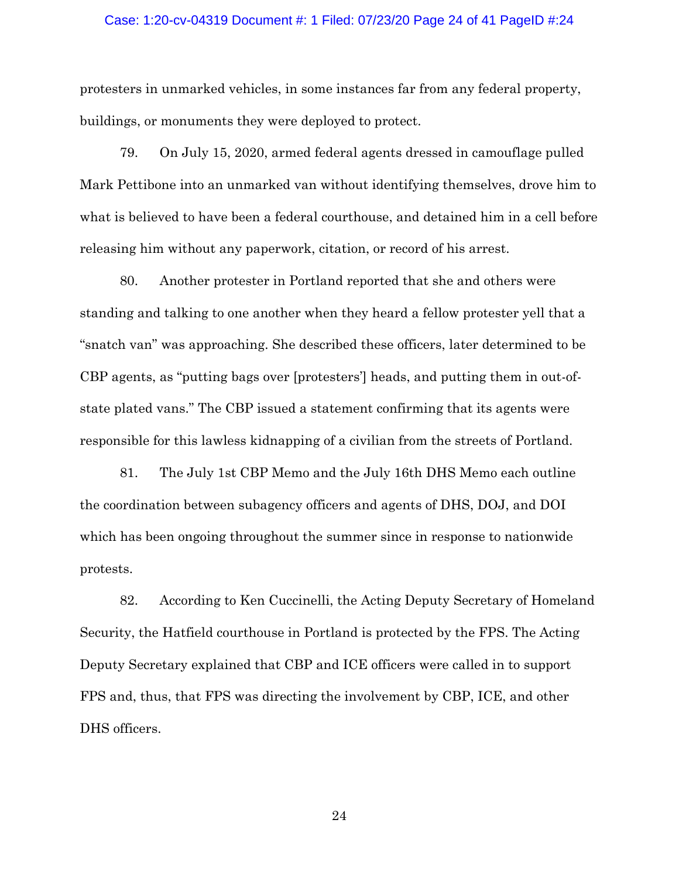### Case: 1:20-cv-04319 Document #: 1 Filed: 07/23/20 Page 24 of 41 PageID #:24

protesters in unmarked vehicles, in some instances far from any federal property, buildings, or monuments they were deployed to protect.

79. On July 15, 2020, armed federal agents dressed in camouflage pulled Mark Pettibone into an unmarked van without identifying themselves, drove him to what is believed to have been a federal courthouse, and detained him in a cell before releasing him without any paperwork, citation, or record of his arrest.

80. Another protester in Portland reported that she and others were standing and talking to one another when they heard a fellow protester yell that a "snatch van" was approaching. She described these officers, later determined to be CBP agents, as "putting bags over [protesters'] heads, and putting them in out-ofstate plated vans." The CBP issued a statement confirming that its agents were responsible for this lawless kidnapping of a civilian from the streets of Portland.

81. The July 1st CBP Memo and the July 16th DHS Memo each outline the coordination between subagency officers and agents of DHS, DOJ, and DOI which has been ongoing throughout the summer since in response to nationwide protests.

82. According to Ken Cuccinelli, the Acting Deputy Secretary of Homeland Security, the Hatfield courthouse in Portland is protected by the FPS. The Acting Deputy Secretary explained that CBP and ICE officers were called in to support FPS and, thus, that FPS was directing the involvement by CBP, ICE, and other DHS officers.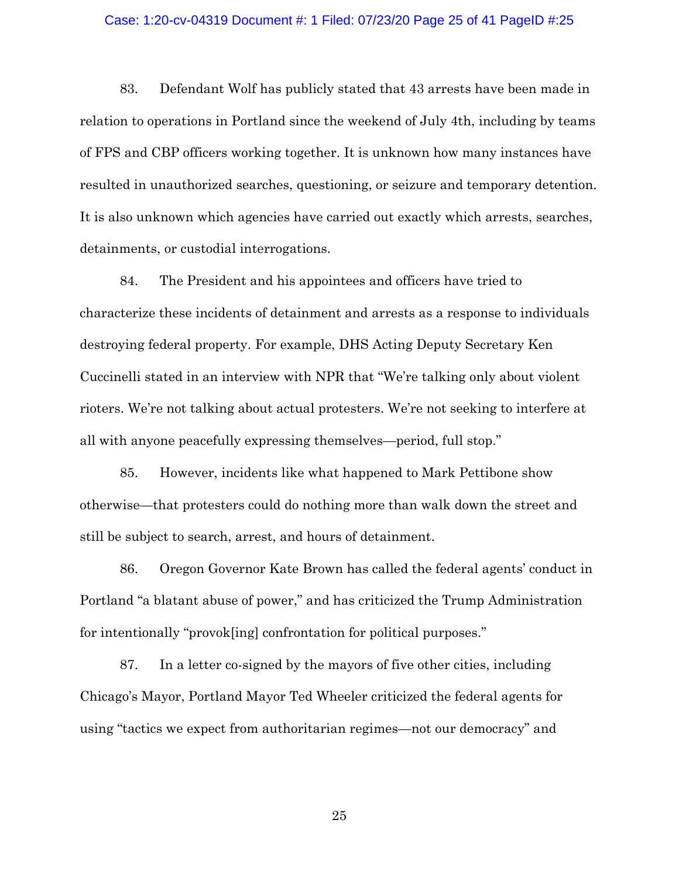## Case: 1:20-cv-04319 Document #: 1 Filed: 07/23/20 Page 25 of 41 PageID #:25

83. Defendant Wolf has publicly stated that 43 arrests have been made in relation to operations in Portland since the weekend of July 4th, including by teams of FPS and CBP officers working together. It is unknown how many instances have resulted in unauthorized searches, questioning, or seizure and temporary detention. It is also unknown which agencies have carried out exactly which arrests, searches, detainments, or custodial interrogations.

84. The President and his appointees and officers have tried to characterize these incidents of detainment and arrests as a response to individuals destroying federal property. For example, DHS Acting Deputy Secretary Ken Cuccinelli stated in an interview with NPR that "We're talking only about violent rioters. We're not talking about actual protesters. We're not seeking to interfere at all with anyone peacefully expressing themselves—period, full stop."

85. However, incidents like what happened to Mark Pettibone show otherwise—that protesters could do nothing more than walk down the street and still be subject to search, arrest, and hours of detainment.

86. Oregon Governor Kate Brown has called the federal agents' conduct in Portland "a blatant abuse of power," and has criticized the Trump Administration for intentionally "provok[ing] confrontation for political purposes."

87. In a letter co-signed by the mayors of five other cities, including Chicago's Mayor, Portland Mayor Ted Wheeler criticized the federal agents for using "tactics we expect from authoritarian regimes—not our democracy" and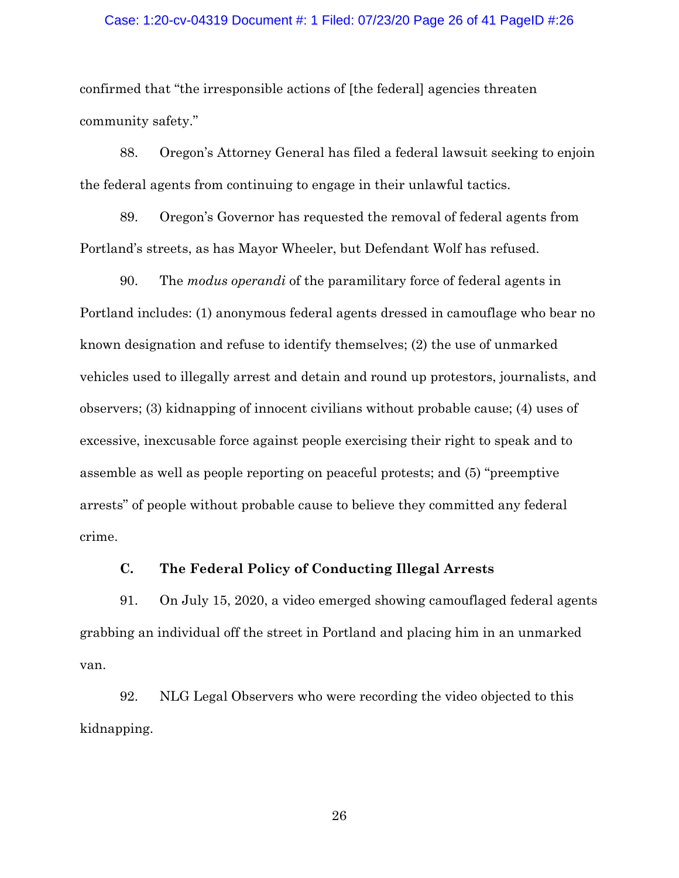### Case: 1:20-cv-04319 Document #: 1 Filed: 07/23/20 Page 26 of 41 PageID #:26

confirmed that "the irresponsible actions of [the federal] agencies threaten community safety."

88. Oregon's Attorney General has filed a federal lawsuit seeking to enjoin the federal agents from continuing to engage in their unlawful tactics.

89. Oregon's Governor has requested the removal of federal agents from Portland's streets, as has Mayor Wheeler, but Defendant Wolf has refused.

90. The *modus operandi* of the paramilitary force of federal agents in Portland includes: (1) anonymous federal agents dressed in camouflage who bear no known designation and refuse to identify themselves; (2) the use of unmarked vehicles used to illegally arrest and detain and round up protestors, journalists, and observers; (3) kidnapping of innocent civilians without probable cause; (4) uses of excessive, inexcusable force against people exercising their right to speak and to assemble as well as people reporting on peaceful protests; and (5) "preemptive arrests" of people without probable cause to believe they committed any federal crime.

## **C. The Federal Policy of Conducting Illegal Arrests**

91. On July 15, 2020, a video emerged showing camouflaged federal agents grabbing an individual off the street in Portland and placing him in an unmarked van.

92. NLG Legal Observers who were recording the video objected to this kidnapping.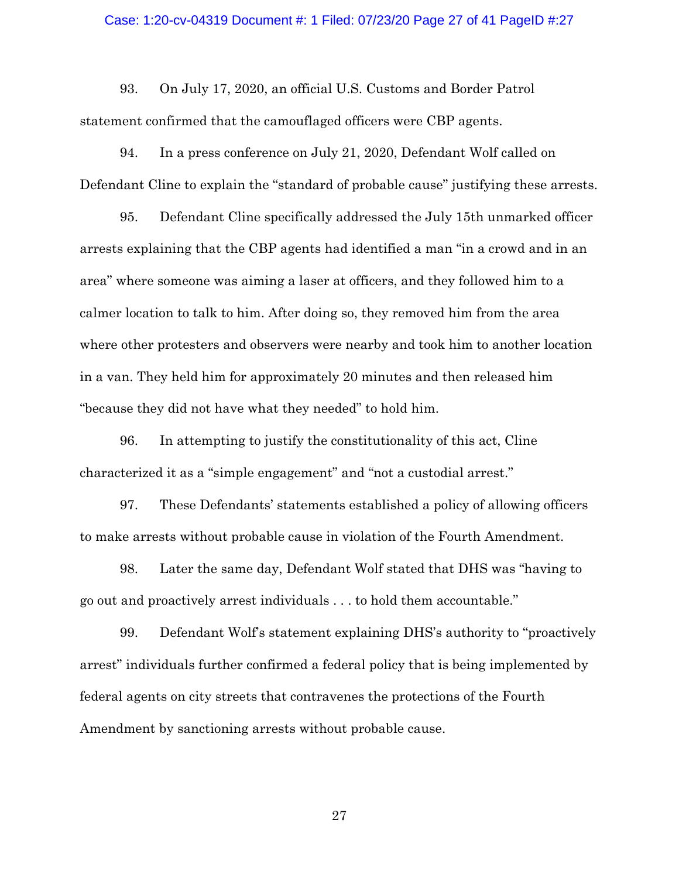#### Case: 1:20-cv-04319 Document #: 1 Filed: 07/23/20 Page 27 of 41 PageID #:27

93. On July 17, 2020, an official U.S. Customs and Border Patrol statement confirmed that the camouflaged officers were CBP agents.

94. In a press conference on July 21, 2020, Defendant Wolf called on Defendant Cline to explain the "standard of probable cause" justifying these arrests.

95. Defendant Cline specifically addressed the July 15th unmarked officer arrests explaining that the CBP agents had identified a man "in a crowd and in an area" where someone was aiming a laser at officers, and they followed him to a calmer location to talk to him. After doing so, they removed him from the area where other protesters and observers were nearby and took him to another location in a van. They held him for approximately 20 minutes and then released him "because they did not have what they needed" to hold him.

96. In attempting to justify the constitutionality of this act, Cline characterized it as a "simple engagement" and "not a custodial arrest."

97. These Defendants' statements established a policy of allowing officers to make arrests without probable cause in violation of the Fourth Amendment.

98. Later the same day, Defendant Wolf stated that DHS was "having to go out and proactively arrest individuals . . . to hold them accountable."

99. Defendant Wolf's statement explaining DHS's authority to "proactively arrest" individuals further confirmed a federal policy that is being implemented by federal agents on city streets that contravenes the protections of the Fourth Amendment by sanctioning arrests without probable cause.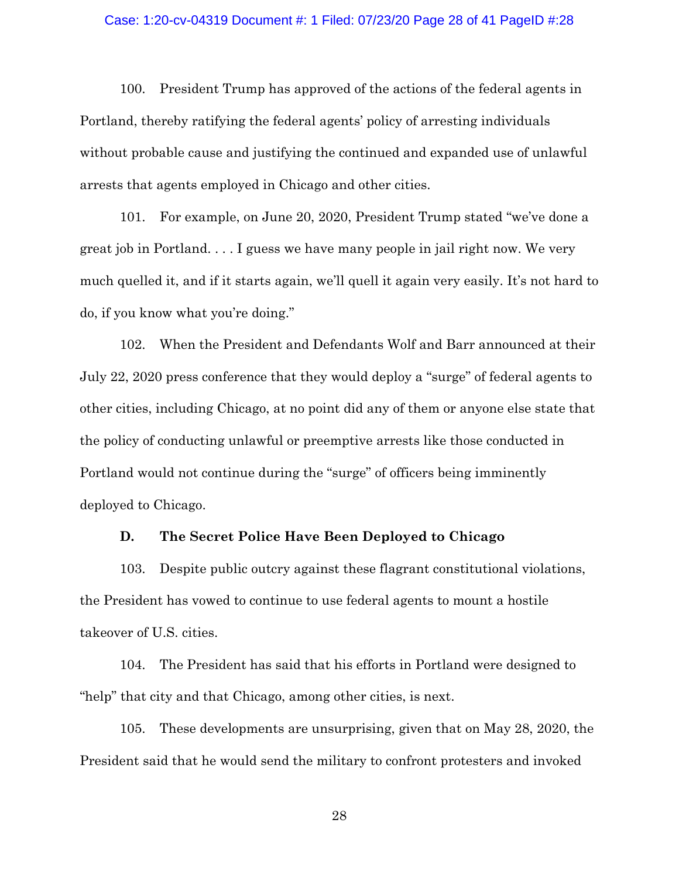## Case: 1:20-cv-04319 Document #: 1 Filed: 07/23/20 Page 28 of 41 PageID #:28

100. President Trump has approved of the actions of the federal agents in Portland, thereby ratifying the federal agents' policy of arresting individuals without probable cause and justifying the continued and expanded use of unlawful arrests that agents employed in Chicago and other cities.

101. For example, on June 20, 2020, President Trump stated "we've done a great job in Portland. . . . I guess we have many people in jail right now. We very much quelled it, and if it starts again, we'll quell it again very easily. It's not hard to do, if you know what you're doing."

102. When the President and Defendants Wolf and Barr announced at their July 22, 2020 press conference that they would deploy a "surge" of federal agents to other cities, including Chicago, at no point did any of them or anyone else state that the policy of conducting unlawful or preemptive arrests like those conducted in Portland would not continue during the "surge" of officers being imminently deployed to Chicago.

## **D. The Secret Police Have Been Deployed to Chicago**

103. Despite public outcry against these flagrant constitutional violations, the President has vowed to continue to use federal agents to mount a hostile takeover of U.S. cities.

104. The President has said that his efforts in Portland were designed to "help" that city and that Chicago, among other cities, is next.

105. These developments are unsurprising, given that on May 28, 2020, the President said that he would send the military to confront protesters and invoked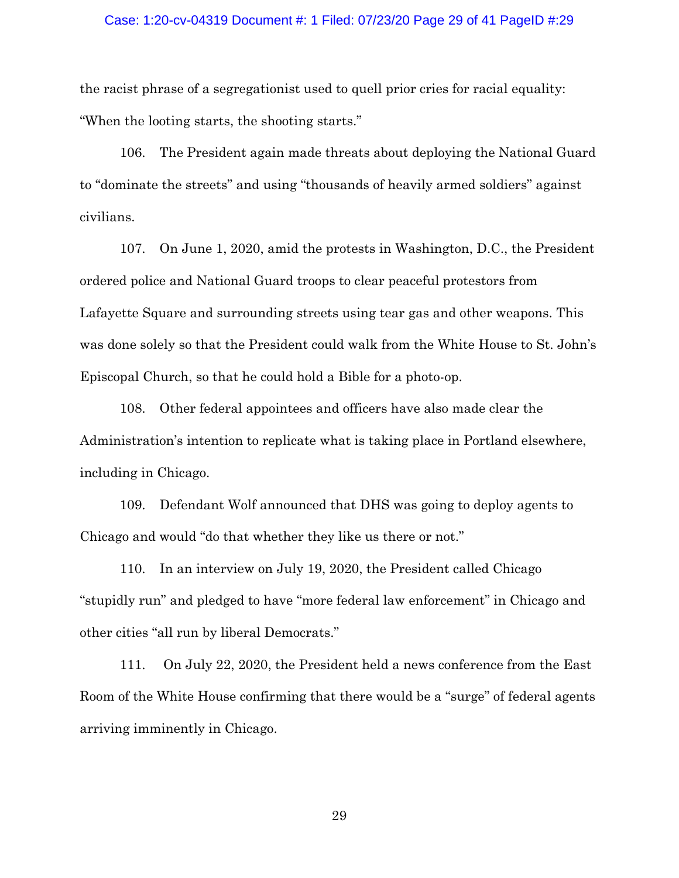## Case: 1:20-cv-04319 Document #: 1 Filed: 07/23/20 Page 29 of 41 PageID #:29

the racist phrase of a segregationist used to quell prior cries for racial equality: "When the looting starts, the shooting starts."

106. The President again made threats about deploying the National Guard to "dominate the streets" and using "thousands of heavily armed soldiers" against civilians.

107. On June 1, 2020, amid the protests in Washington, D.C., the President ordered police and National Guard troops to clear peaceful protestors from Lafayette Square and surrounding streets using tear gas and other weapons. This was done solely so that the President could walk from the White House to St. John's Episcopal Church, so that he could hold a Bible for a photo-op.

108. Other federal appointees and officers have also made clear the Administration's intention to replicate what is taking place in Portland elsewhere, including in Chicago.

109. Defendant Wolf announced that DHS was going to deploy agents to Chicago and would "do that whether they like us there or not."

110. In an interview on July 19, 2020, the President called Chicago "stupidly run" and pledged to have "more federal law enforcement" in Chicago and other cities "all run by liberal Democrats."

111. On July 22, 2020, the President held a news conference from the East Room of the White House confirming that there would be a "surge" of federal agents arriving imminently in Chicago.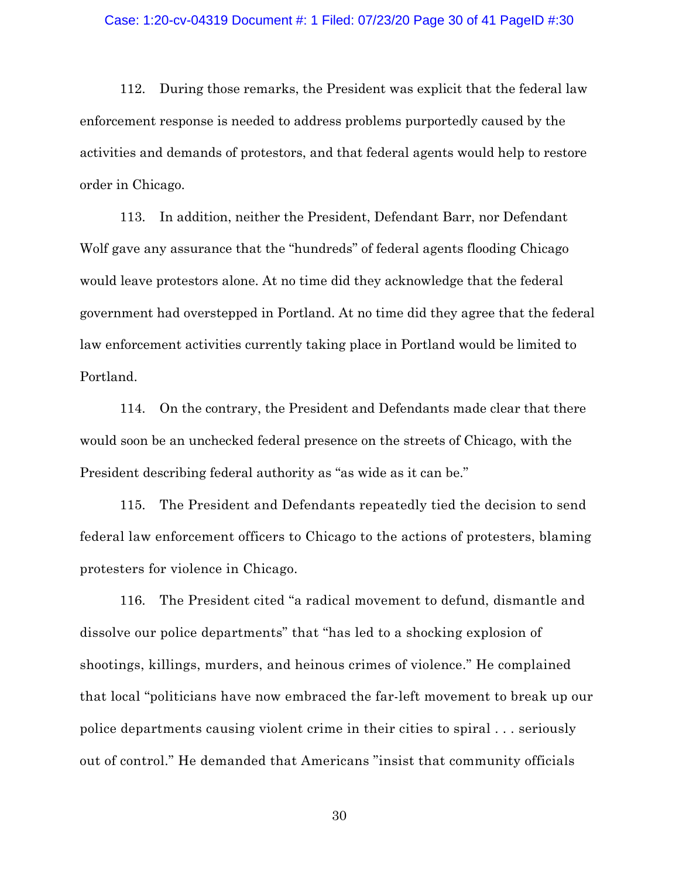## Case: 1:20-cv-04319 Document #: 1 Filed: 07/23/20 Page 30 of 41 PageID #:30

112. During those remarks, the President was explicit that the federal law enforcement response is needed to address problems purportedly caused by the activities and demands of protestors, and that federal agents would help to restore order in Chicago.

113. In addition, neither the President, Defendant Barr, nor Defendant Wolf gave any assurance that the "hundreds" of federal agents flooding Chicago would leave protestors alone. At no time did they acknowledge that the federal government had overstepped in Portland. At no time did they agree that the federal law enforcement activities currently taking place in Portland would be limited to Portland.

114. On the contrary, the President and Defendants made clear that there would soon be an unchecked federal presence on the streets of Chicago, with the President describing federal authority as "as wide as it can be."

115. The President and Defendants repeatedly tied the decision to send federal law enforcement officers to Chicago to the actions of protesters, blaming protesters for violence in Chicago.

116. The President cited "a radical movement to defund, dismantle and dissolve our police departments" that "has led to a shocking explosion of shootings, killings, murders, and heinous crimes of violence." He complained that local "politicians have now embraced the far-left movement to break up our police departments causing violent crime in their cities to spiral . . . seriously out of control." He demanded that Americans "insist that community officials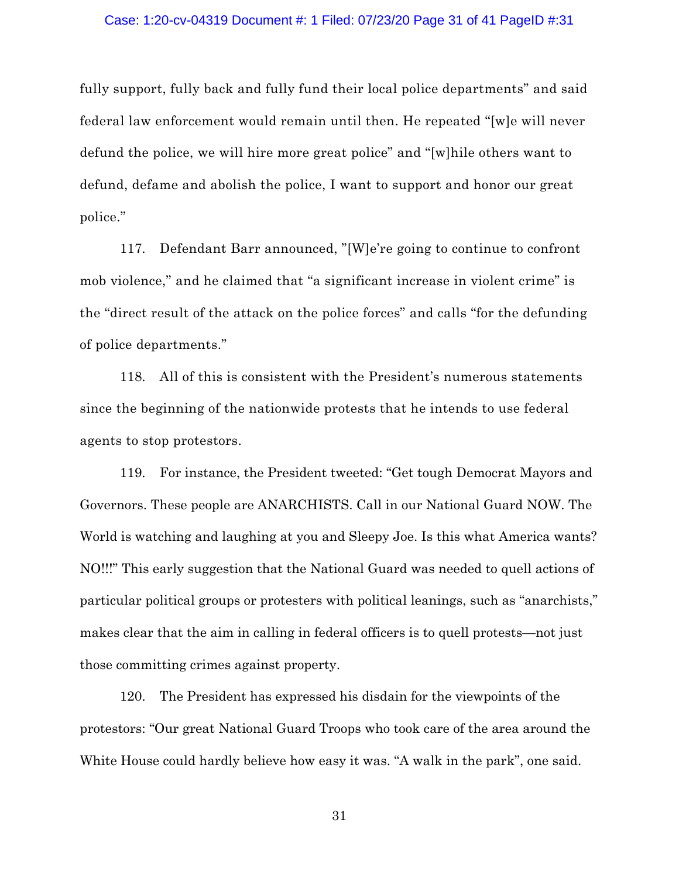fully support, fully back and fully fund their local police departments" and said federal law enforcement would remain until then. He repeated "[w]e will never defund the police, we will hire more great police" and "[w]hile others want to defund, defame and abolish the police, I want to support and honor our great police."

117. Defendant Barr announced, "[W]e're going to continue to confront mob violence," and he claimed that "a significant increase in violent crime" is the "direct result of the attack on the police forces" and calls "for the defunding of police departments."

118. All of this is consistent with the President's numerous statements since the beginning of the nationwide protests that he intends to use federal agents to stop protestors.

119. For instance, the President tweeted: "Get tough Democrat Mayors and Governors. These people are ANARCHISTS. Call in our National Guard NOW. The World is watching and laughing at you and Sleepy Joe. Is this what America wants? NO!!!" This early suggestion that the National Guard was needed to quell actions of particular political groups or protesters with political leanings, such as "anarchists," makes clear that the aim in calling in federal officers is to quell protests—not just those committing crimes against property.

120. The President has expressed his disdain for the viewpoints of the protestors: "Our great National Guard Troops who took care of the area around the White House could hardly believe how easy it was. "A walk in the park", one said.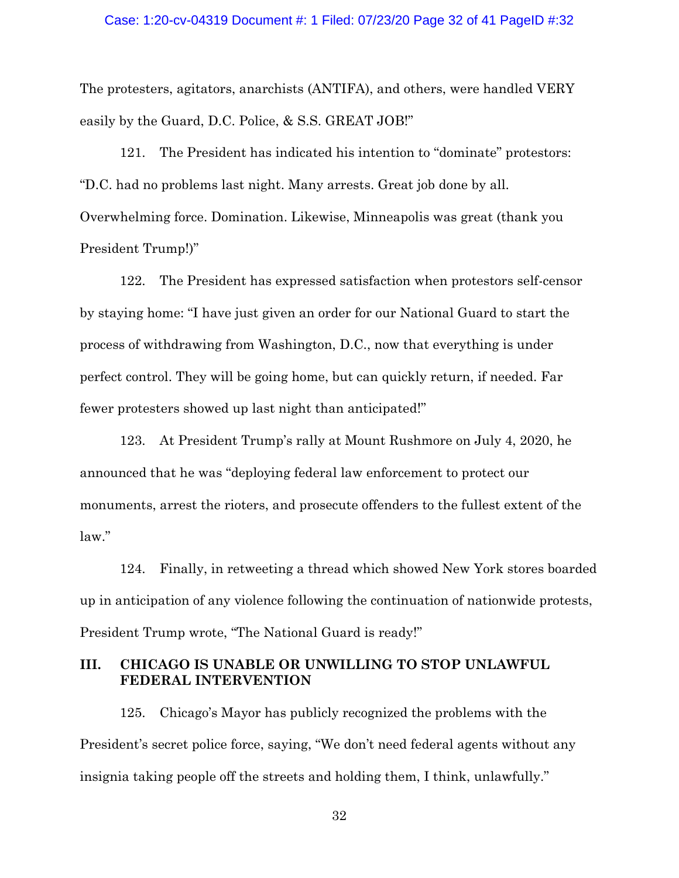### Case: 1:20-cv-04319 Document #: 1 Filed: 07/23/20 Page 32 of 41 PageID #:32

The protesters, agitators, anarchists (ANTIFA), and others, were handled VERY easily by the Guard, D.C. Police, & S.S. GREAT JOB!"

121. The President has indicated his intention to "dominate" protestors: "D.C. had no problems last night. Many arrests. Great job done by all. Overwhelming force. Domination. Likewise, Minneapolis was great (thank you President Trump!)"

122. The President has expressed satisfaction when protestors self-censor by staying home: "I have just given an order for our National Guard to start the process of withdrawing from Washington, D.C., now that everything is under perfect control. They will be going home, but can quickly return, if needed. Far fewer protesters showed up last night than anticipated!"

123. At President Trump's rally at Mount Rushmore on July 4, 2020, he announced that he was "deploying federal law enforcement to protect our monuments, arrest the rioters, and prosecute offenders to the fullest extent of the law."

124. Finally, in retweeting a thread which showed New York stores boarded up in anticipation of any violence following the continuation of nationwide protests, President Trump wrote, "The National Guard is ready!"

# **III. CHICAGO IS UNABLE OR UNWILLING TO STOP UNLAWFUL FEDERAL INTERVENTION**

125. Chicago's Mayor has publicly recognized the problems with the President's secret police force, saying, "We don't need federal agents without any insignia taking people off the streets and holding them, I think, unlawfully."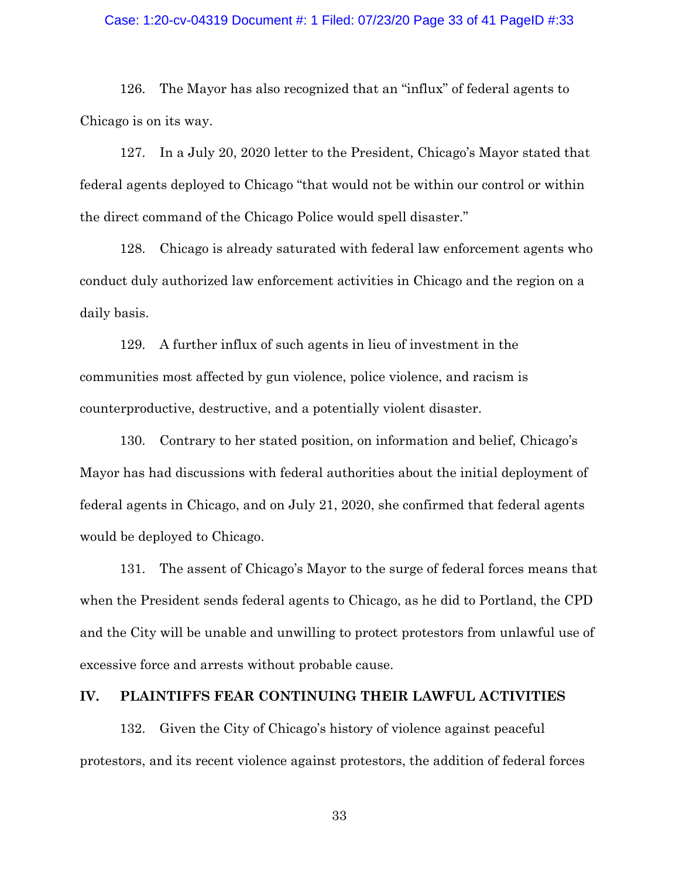### Case: 1:20-cv-04319 Document #: 1 Filed: 07/23/20 Page 33 of 41 PageID #:33

126. The Mayor has also recognized that an "influx" of federal agents to Chicago is on its way.

127. In a July 20, 2020 letter to the President, Chicago's Mayor stated that federal agents deployed to Chicago "that would not be within our control or within the direct command of the Chicago Police would spell disaster."

128. Chicago is already saturated with federal law enforcement agents who conduct duly authorized law enforcement activities in Chicago and the region on a daily basis.

129. A further influx of such agents in lieu of investment in the communities most affected by gun violence, police violence, and racism is counterproductive, destructive, and a potentially violent disaster.

130. Contrary to her stated position, on information and belief, Chicago's Mayor has had discussions with federal authorities about the initial deployment of federal agents in Chicago, and on July 21, 2020, she confirmed that federal agents would be deployed to Chicago.

131. The assent of Chicago's Mayor to the surge of federal forces means that when the President sends federal agents to Chicago, as he did to Portland, the CPD and the City will be unable and unwilling to protect protestors from unlawful use of excessive force and arrests without probable cause.

## **IV. PLAINTIFFS FEAR CONTINUING THEIR LAWFUL ACTIVITIES**

132. Given the City of Chicago's history of violence against peaceful protestors, and its recent violence against protestors, the addition of federal forces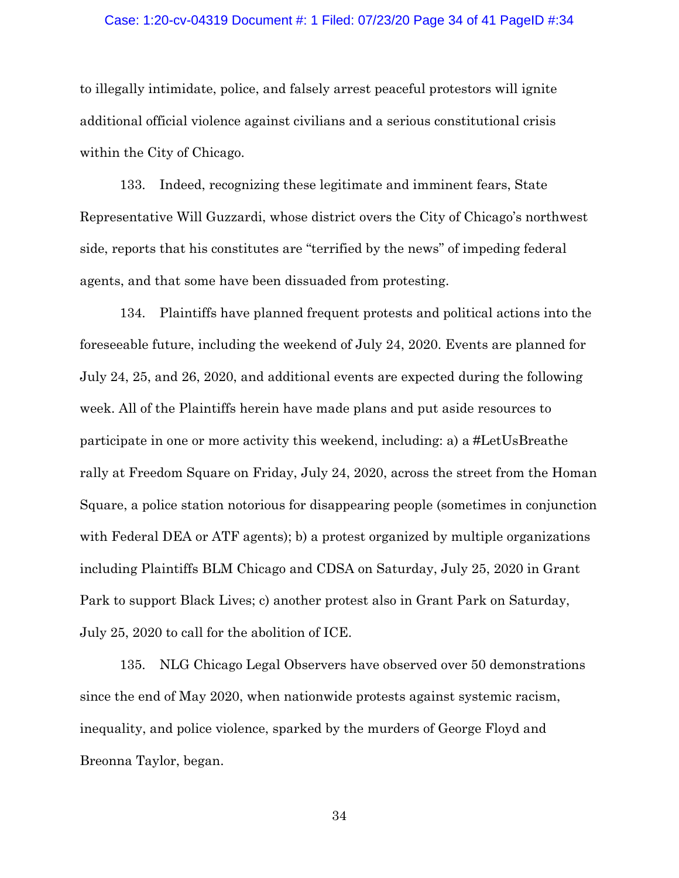#### Case: 1:20-cv-04319 Document #: 1 Filed: 07/23/20 Page 34 of 41 PageID #:34

to illegally intimidate, police, and falsely arrest peaceful protestors will ignite additional official violence against civilians and a serious constitutional crisis within the City of Chicago.

133. Indeed, recognizing these legitimate and imminent fears, State Representative Will Guzzardi, whose district overs the City of Chicago's northwest side, reports that his constitutes are "terrified by the news" of impeding federal agents, and that some have been dissuaded from protesting.

134. Plaintiffs have planned frequent protests and political actions into the foreseeable future, including the weekend of July 24, 2020. Events are planned for July 24, 25, and 26, 2020, and additional events are expected during the following week. All of the Plaintiffs herein have made plans and put aside resources to participate in one or more activity this weekend, including: a) a #LetUsBreathe rally at Freedom Square on Friday, July 24, 2020, across the street from the Homan Square, a police station notorious for disappearing people (sometimes in conjunction with Federal DEA or ATF agents); b) a protest organized by multiple organizations including Plaintiffs BLM Chicago and CDSA on Saturday, July 25, 2020 in Grant Park to support Black Lives; c) another protest also in Grant Park on Saturday, July 25, 2020 to call for the abolition of ICE.

135. NLG Chicago Legal Observers have observed over 50 demonstrations since the end of May 2020, when nationwide protests against systemic racism, inequality, and police violence, sparked by the murders of George Floyd and Breonna Taylor, began.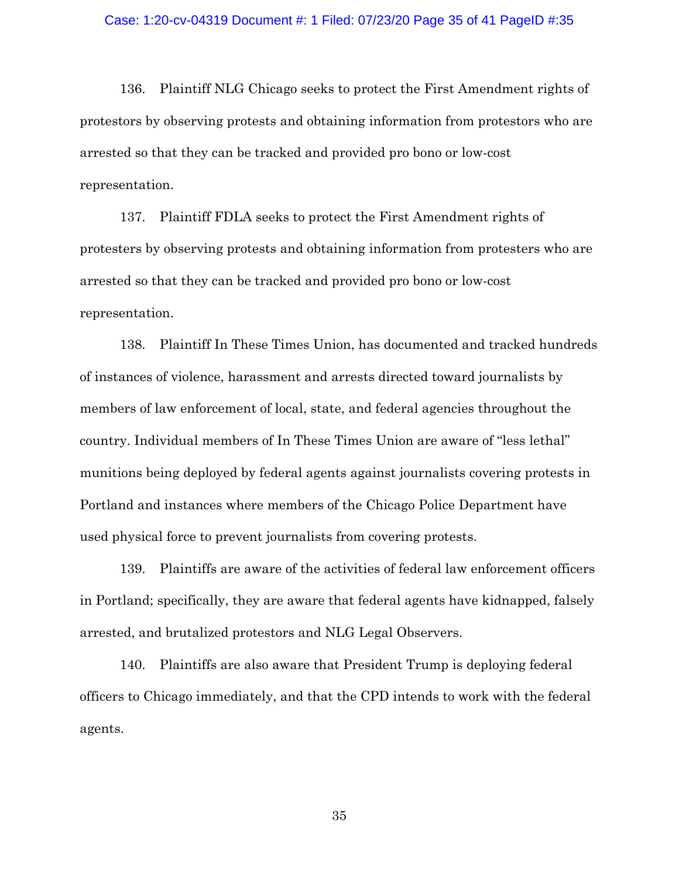#### Case: 1:20-cv-04319 Document #: 1 Filed: 07/23/20 Page 35 of 41 PageID #:35

136. Plaintiff NLG Chicago seeks to protect the First Amendment rights of protestors by observing protests and obtaining information from protestors who are arrested so that they can be tracked and provided pro bono or low-cost representation.

137. Plaintiff FDLA seeks to protect the First Amendment rights of protesters by observing protests and obtaining information from protesters who are arrested so that they can be tracked and provided pro bono or low-cost representation.

138. Plaintiff In These Times Union, has documented and tracked hundreds of instances of violence, harassment and arrests directed toward journalists by members of law enforcement of local, state, and federal agencies throughout the country. Individual members of In These Times Union are aware of "less lethal" munitions being deployed by federal agents against journalists covering protests in Portland and instances where members of the Chicago Police Department have used physical force to prevent journalists from covering protests.

139. Plaintiffs are aware of the activities of federal law enforcement officers in Portland; specifically, they are aware that federal agents have kidnapped, falsely arrested, and brutalized protestors and NLG Legal Observers.

140. Plaintiffs are also aware that President Trump is deploying federal officers to Chicago immediately, and that the CPD intends to work with the federal agents.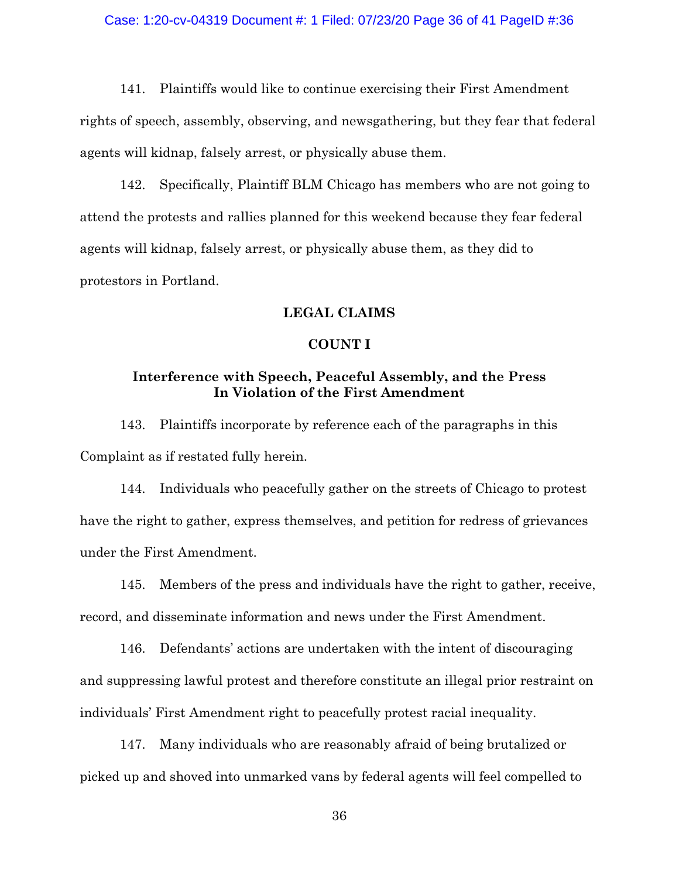## Case: 1:20-cv-04319 Document #: 1 Filed: 07/23/20 Page 36 of 41 PageID #:36

141. Plaintiffs would like to continue exercising their First Amendment rights of speech, assembly, observing, and newsgathering, but they fear that federal agents will kidnap, falsely arrest, or physically abuse them.

142. Specifically, Plaintiff BLM Chicago has members who are not going to attend the protests and rallies planned for this weekend because they fear federal agents will kidnap, falsely arrest, or physically abuse them, as they did to protestors in Portland.

## **LEGAL CLAIMS**

## **COUNT I**

# **Interference with Speech, Peaceful Assembly, and the Press In Violation of the First Amendment**

143. Plaintiffs incorporate by reference each of the paragraphs in this Complaint as if restated fully herein.

144. Individuals who peacefully gather on the streets of Chicago to protest have the right to gather, express themselves, and petition for redress of grievances under the First Amendment.

145. Members of the press and individuals have the right to gather, receive, record, and disseminate information and news under the First Amendment.

146. Defendants' actions are undertaken with the intent of discouraging and suppressing lawful protest and therefore constitute an illegal prior restraint on individuals' First Amendment right to peacefully protest racial inequality.

147. Many individuals who are reasonably afraid of being brutalized or picked up and shoved into unmarked vans by federal agents will feel compelled to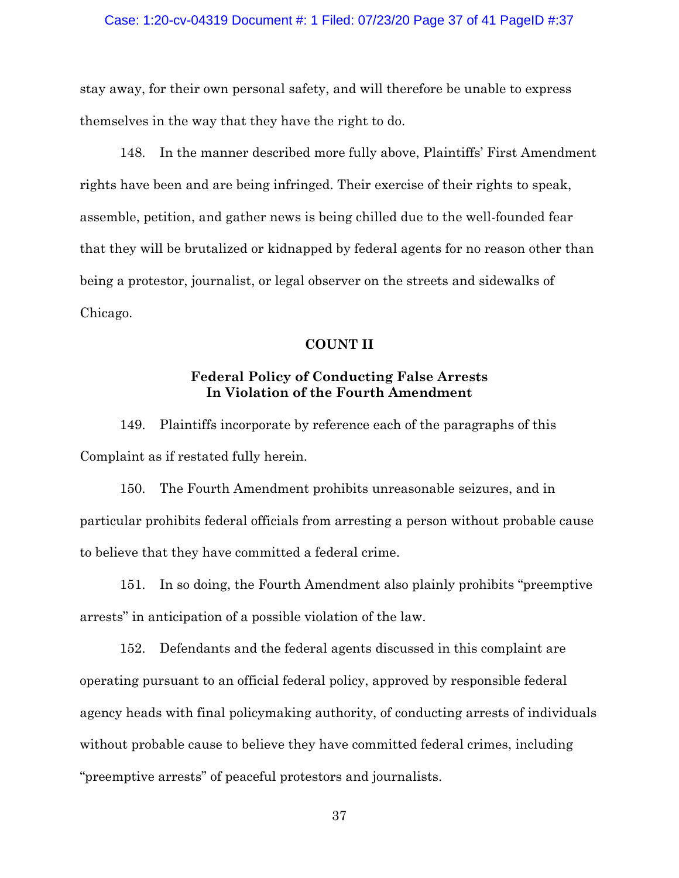### Case: 1:20-cv-04319 Document #: 1 Filed: 07/23/20 Page 37 of 41 PageID #:37

stay away, for their own personal safety, and will therefore be unable to express themselves in the way that they have the right to do.

148. In the manner described more fully above, Plaintiffs' First Amendment rights have been and are being infringed. Their exercise of their rights to speak, assemble, petition, and gather news is being chilled due to the well-founded fear that they will be brutalized or kidnapped by federal agents for no reason other than being a protestor, journalist, or legal observer on the streets and sidewalks of Chicago.

## **COUNT II**

# **Federal Policy of Conducting False Arrests In Violation of the Fourth Amendment**

149. Plaintiffs incorporate by reference each of the paragraphs of this Complaint as if restated fully herein.

150. The Fourth Amendment prohibits unreasonable seizures, and in particular prohibits federal officials from arresting a person without probable cause to believe that they have committed a federal crime.

151. In so doing, the Fourth Amendment also plainly prohibits "preemptive arrests" in anticipation of a possible violation of the law.

152. Defendants and the federal agents discussed in this complaint are operating pursuant to an official federal policy, approved by responsible federal agency heads with final policymaking authority, of conducting arrests of individuals without probable cause to believe they have committed federal crimes, including "preemptive arrests" of peaceful protestors and journalists.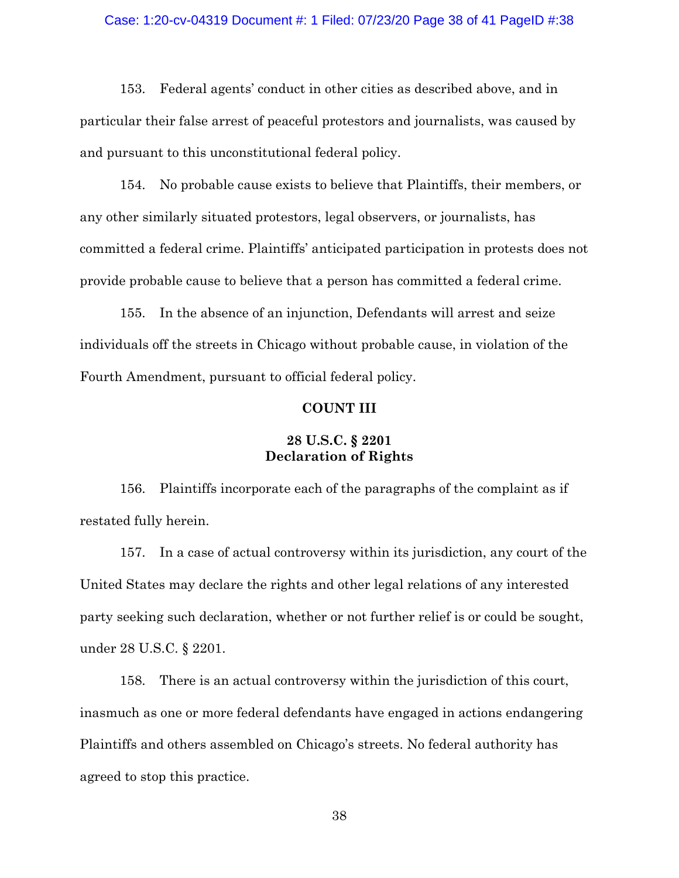### Case: 1:20-cv-04319 Document #: 1 Filed: 07/23/20 Page 38 of 41 PageID #:38

153. Federal agents' conduct in other cities as described above, and in particular their false arrest of peaceful protestors and journalists, was caused by and pursuant to this unconstitutional federal policy.

154. No probable cause exists to believe that Plaintiffs, their members, or any other similarly situated protestors, legal observers, or journalists, has committed a federal crime. Plaintiffs' anticipated participation in protests does not provide probable cause to believe that a person has committed a federal crime.

155. In the absence of an injunction, Defendants will arrest and seize individuals off the streets in Chicago without probable cause, in violation of the Fourth Amendment, pursuant to official federal policy.

## **COUNT III**

# **28 U.S.C. § 2201 Declaration of Rights**

156. Plaintiffs incorporate each of the paragraphs of the complaint as if restated fully herein.

157. In a case of actual controversy within its jurisdiction, any court of the United States may declare the rights and other legal relations of any interested party seeking such declaration, whether or not further relief is or could be sought, under 28 U.S.C. § 2201.

158. There is an actual controversy within the jurisdiction of this court, inasmuch as one or more federal defendants have engaged in actions endangering Plaintiffs and others assembled on Chicago's streets. No federal authority has agreed to stop this practice.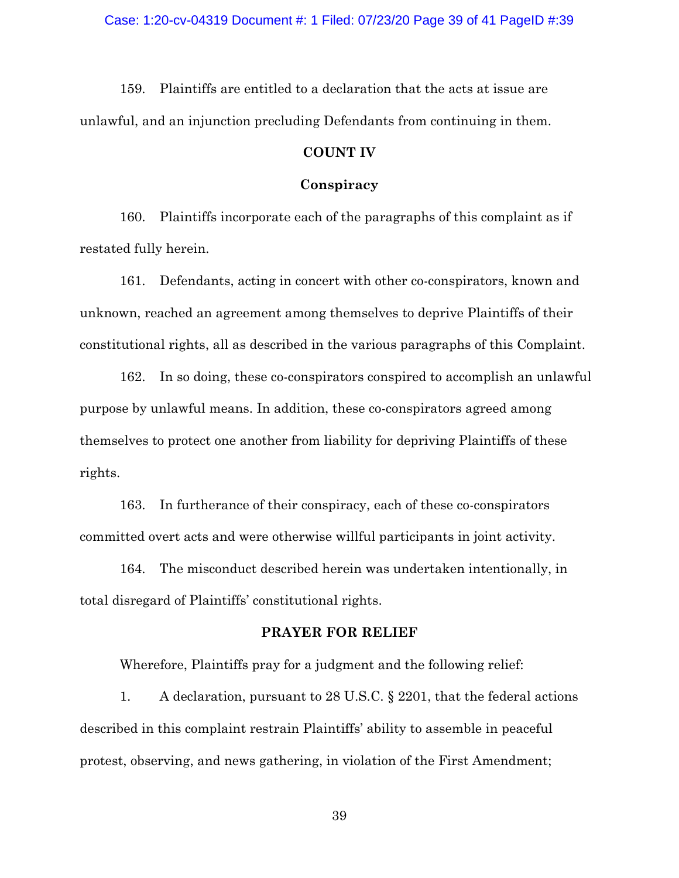159. Plaintiffs are entitled to a declaration that the acts at issue are unlawful, and an injunction precluding Defendants from continuing in them.

## **COUNT IV**

### **Conspiracy**

160. Plaintiffs incorporate each of the paragraphs of this complaint as if restated fully herein.

161. Defendants, acting in concert with other co-conspirators, known and unknown, reached an agreement among themselves to deprive Plaintiffs of their constitutional rights, all as described in the various paragraphs of this Complaint.

162. In so doing, these co-conspirators conspired to accomplish an unlawful purpose by unlawful means. In addition, these co-conspirators agreed among themselves to protect one another from liability for depriving Plaintiffs of these rights.

163. In furtherance of their conspiracy, each of these co-conspirators committed overt acts and were otherwise willful participants in joint activity.

164. The misconduct described herein was undertaken intentionally, in total disregard of Plaintiffs' constitutional rights.

#### **PRAYER FOR RELIEF**

Wherefore, Plaintiffs pray for a judgment and the following relief:

1. A declaration, pursuant to 28 U.S.C. § 2201, that the federal actions described in this complaint restrain Plaintiffs' ability to assemble in peaceful protest, observing, and news gathering, in violation of the First Amendment;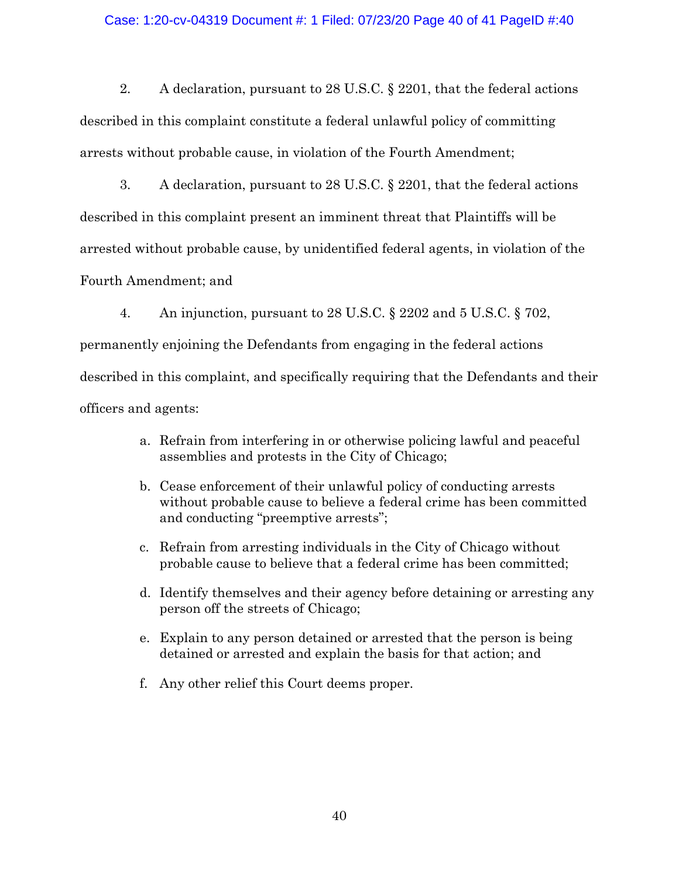## Case: 1:20-cv-04319 Document #: 1 Filed: 07/23/20 Page 40 of 41 PageID #:40

2. A declaration, pursuant to 28 U.S.C. § 2201, that the federal actions described in this complaint constitute a federal unlawful policy of committing arrests without probable cause, in violation of the Fourth Amendment;

3. A declaration, pursuant to 28 U.S.C. § 2201, that the federal actions described in this complaint present an imminent threat that Plaintiffs will be arrested without probable cause, by unidentified federal agents, in violation of the Fourth Amendment; and

4. An injunction, pursuant to 28 U.S.C. § 2202 and 5 U.S.C. § 702, permanently enjoining the Defendants from engaging in the federal actions described in this complaint, and specifically requiring that the Defendants and their officers and agents:

- a. Refrain from interfering in or otherwise policing lawful and peaceful assemblies and protests in the City of Chicago;
- b. Cease enforcement of their unlawful policy of conducting arrests without probable cause to believe a federal crime has been committed and conducting "preemptive arrests";
- c. Refrain from arresting individuals in the City of Chicago without probable cause to believe that a federal crime has been committed;
- d. Identify themselves and their agency before detaining or arresting any person off the streets of Chicago;
- e. Explain to any person detained or arrested that the person is being detained or arrested and explain the basis for that action; and
- f. Any other relief this Court deems proper.